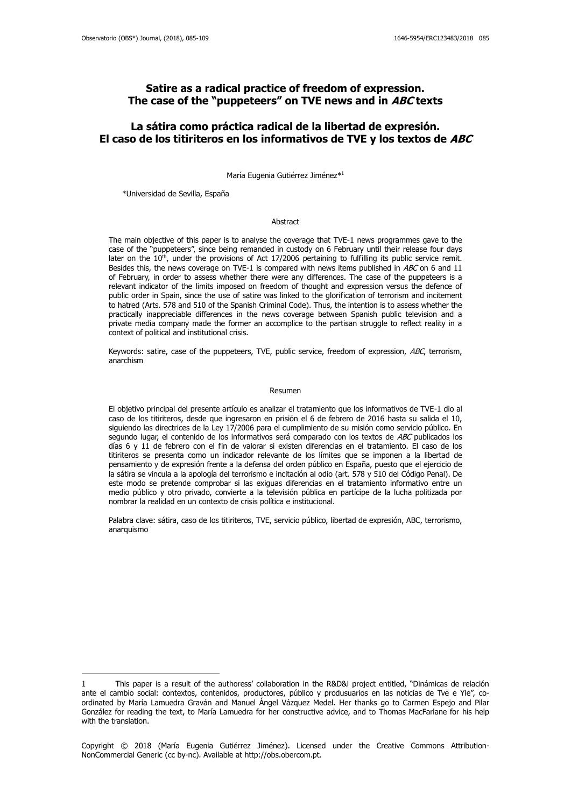# **Satire as a radical practice of freedom of expression. The case of the "puppeteers" on TVE news and in ABC texts**

# **La sátira como práctica radical de la libertad de expresión. El caso de los titiriteros en los informativos de TVE y los textos de ABC**

María Eugenia Gutiérrez Jiménez\* 1

\*Universidad de Sevilla, España

1

#### Abstract

The main objective of this paper is to analyse the coverage that TVE-1 news programmes gave to the case of the "puppeteers", since being remanded in custody on 6 February until their release four days later on the  $10<sup>th</sup>$ , under the provisions of Act 17/2006 pertaining to fulfilling its public service remit. Besides this, the news coverage on TVE-1 is compared with news items published in ABC on 6 and 11 of February, in order to assess whether there were any differences. The case of the puppeteers is a relevant indicator of the limits imposed on freedom of thought and expression versus the defence of public order in Spain, since the use of satire was linked to the glorification of terrorism and incitement to hatred (Arts. 578 and 510 of the Spanish Criminal Code). Thus, the intention is to assess whether the practically inappreciable differences in the news coverage between Spanish public television and a private media company made the former an accomplice to the partisan struggle to reflect reality in a context of political and institutional crisis.

Keywords: satire, case of the puppeteers, TVE, public service, freedom of expression, ABC, terrorism, anarchism

#### Resumen

El objetivo principal del presente artículo es analizar el tratamiento que los informativos de TVE-1 dio al caso de los titiriteros, desde que ingresaron en prisión el 6 de febrero de 2016 hasta su salida el 10, siguiendo las directrices de la Ley 17/2006 para el cumplimiento de su misión como servicio público. En segundo lugar, el contenido de los informativos será comparado con los textos de ABC publicados los días 6 y 11 de febrero con el fin de valorar si existen diferencias en el tratamiento. El caso de los titiriteros se presenta como un indicador relevante de los límites que se imponen a la libertad de pensamiento y de expresión frente a la defensa del orden público en España, puesto que el ejercicio de la sátira se vincula a la apología del terrorismo e incitación al odio (art. 578 y 510 del Código Penal). De este modo se pretende comprobar si las exiguas diferencias en el tratamiento informativo entre un medio público y otro privado, convierte a la televisión pública en partícipe de la lucha politizada por nombrar la realidad en un contexto de crisis política e institucional.

Palabra clave: sátira, caso de los titiriteros, TVE, servicio público, libertad de expresión, ABC, terrorismo, anarquismo

<sup>1</sup> This paper is a result of the authoress' collaboration in the R&D&i project entitled, "Dinámicas de relación ante el cambio social: contextos, contenidos, productores, público y produsuarios en las noticias de Tve e Yle", coordinated by María Lamuedra Graván and Manuel Ángel Vázquez Medel. Her thanks go to Carmen Espejo and Pilar González for reading the text, to María Lamuedra for her constructive advice, and to Thomas MacFarlane for his help with the translation.

Copyright © 2018 (María Eugenia Gutiérrez Jiménez). Licensed under the Creative Commons Attribution-NonCommercial Generic (cc by-nc). Available at http://obs.obercom.pt.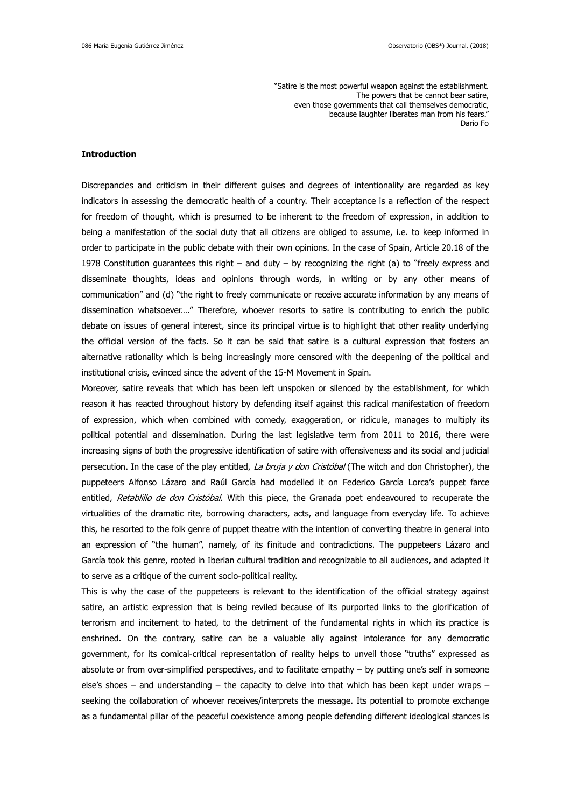"Satire is the most powerful weapon against the establishment. The powers that be cannot bear satire, even those governments that call themselves democratic, because laughter liberates man from his fears." Dario Fo

## **Introduction**

Discrepancies and criticism in their different guises and degrees of intentionality are regarded as key indicators in assessing the democratic health of a country. Their acceptance is a reflection of the respect for freedom of thought, which is presumed to be inherent to the freedom of expression, in addition to being a manifestation of the social duty that all citizens are obliged to assume, i.e. to keep informed in order to participate in the public debate with their own opinions. In the case of Spain, Article 20.18 of the 1978 Constitution guarantees this right – and duty – by recognizing the right (a) to "freely express and disseminate thoughts, ideas and opinions through words, in writing or by any other means of communication" and (d) "the right to freely communicate or receive accurate information by any means of dissemination whatsoever…." Therefore, whoever resorts to satire is contributing to enrich the public debate on issues of general interest, since its principal virtue is to highlight that other reality underlying the official version of the facts. So it can be said that satire is a cultural expression that fosters an alternative rationality which is being increasingly more censored with the deepening of the political and institutional crisis, evinced since the advent of the 15-M Movement in Spain.

Moreover, satire reveals that which has been left unspoken or silenced by the establishment, for which reason it has reacted throughout history by defending itself against this radical manifestation of freedom of expression, which when combined with comedy, exaggeration, or ridicule, manages to multiply its political potential and dissemination. During the last legislative term from 2011 to 2016, there were increasing signs of both the progressive identification of satire with offensiveness and its social and judicial persecution. In the case of the play entitled, La bruja y don Cristóbal (The witch and don Christopher), the puppeteers Alfonso Lázaro and Raúl García had modelled it on Federico García Lorca's puppet farce entitled, Retablillo de don Cristóbal. With this piece, the Granada poet endeavoured to recuperate the virtualities of the dramatic rite, borrowing characters, acts, and language from everyday life. To achieve this, he resorted to the folk genre of puppet theatre with the intention of converting theatre in general into an expression of "the human", namely, of its finitude and contradictions. The puppeteers Lázaro and García took this genre, rooted in Iberian cultural tradition and recognizable to all audiences, and adapted it to serve as a critique of the current socio-political reality.

This is why the case of the puppeteers is relevant to the identification of the official strategy against satire, an artistic expression that is being reviled because of its purported links to the glorification of terrorism and incitement to hated, to the detriment of the fundamental rights in which its practice is enshrined. On the contrary, satire can be a valuable ally against intolerance for any democratic government, for its comical-critical representation of reality helps to unveil those "truths" expressed as absolute or from over-simplified perspectives, and to facilitate empathy – by putting one's self in someone else's shoes – and understanding – the capacity to delve into that which has been kept under wraps – seeking the collaboration of whoever receives/interprets the message. Its potential to promote exchange as a fundamental pillar of the peaceful coexistence among people defending different ideological stances is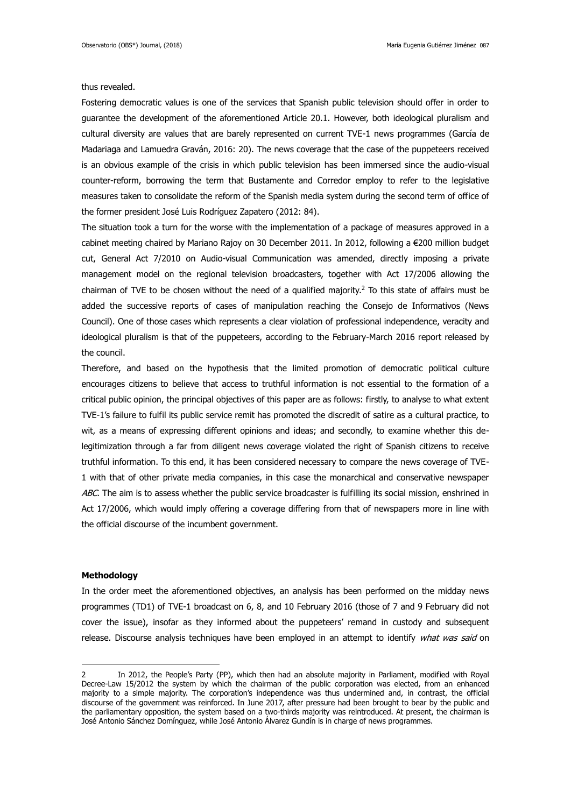### thus revealed.

Fostering democratic values is one of the services that Spanish public television should offer in order to guarantee the development of the aforementioned Article 20.1. However, both ideological pluralism and cultural diversity are values that are barely represented on current TVE-1 news programmes (García de Madariaga and Lamuedra Graván, 2016: 20). The news coverage that the case of the puppeteers received is an obvious example of the crisis in which public television has been immersed since the audio-visual counter-reform, borrowing the term that Bustamente and Corredor employ to refer to the legislative measures taken to consolidate the reform of the Spanish media system during the second term of office of the former president José Luis Rodríguez Zapatero (2012: 84).

The situation took a turn for the worse with the implementation of a package of measures approved in a cabinet meeting chaired by Mariano Rajoy on 30 December 2011. In 2012, following a €200 million budget cut, General Act 7/2010 on Audio-visual Communication was amended, directly imposing a private management model on the regional television broadcasters, together with Act 17/2006 allowing the chairman of TVE to be chosen without the need of a qualified majority.<sup>2</sup> To this state of affairs must be added the successive reports of cases of manipulation reaching the Consejo de Informativos (News Council). One of those cases which represents a clear violation of professional independence, veracity and ideological pluralism is that of the puppeteers, according to the February-March 2016 report released by the council.

Therefore, and based on the hypothesis that the limited promotion of democratic political culture encourages citizens to believe that access to truthful information is not essential to the formation of a critical public opinion, the principal objectives of this paper are as follows: firstly, to analyse to what extent TVE-1's failure to fulfil its public service remit has promoted the discredit of satire as a cultural practice, to wit, as a means of expressing different opinions and ideas; and secondly, to examine whether this delegitimization through a far from diligent news coverage violated the right of Spanish citizens to receive truthful information. To this end, it has been considered necessary to compare the news coverage of TVE-1 with that of other private media companies, in this case the monarchical and conservative newspaper ABC. The aim is to assess whether the public service broadcaster is fulfilling its social mission, enshrined in Act 17/2006, which would imply offering a coverage differing from that of newspapers more in line with the official discourse of the incumbent government.

## **Methodology**

1

In the order meet the aforementioned objectives, an analysis has been performed on the midday news programmes (TD1) of TVE-1 broadcast on 6, 8, and 10 February 2016 (those of 7 and 9 February did not cover the issue), insofar as they informed about the puppeteers' remand in custody and subsequent release. Discourse analysis techniques have been employed in an attempt to identify what was said on

<sup>2</sup> In 2012, the People's Party (PP), which then had an absolute majority in Parliament, modified with Royal Decree-Law 15/2012 the system by which the chairman of the public corporation was elected, from an enhanced majority to a simple majority. The corporation's independence was thus undermined and, in contrast, the official discourse of the government was reinforced. In June 2017, after pressure had been brought to bear by the public and the parliamentary opposition, the system based on a two-thirds majority was reintroduced. At present, the chairman is José Antonio Sánchez Domínguez, while José Antonio Álvarez Gundín is in charge of news programmes.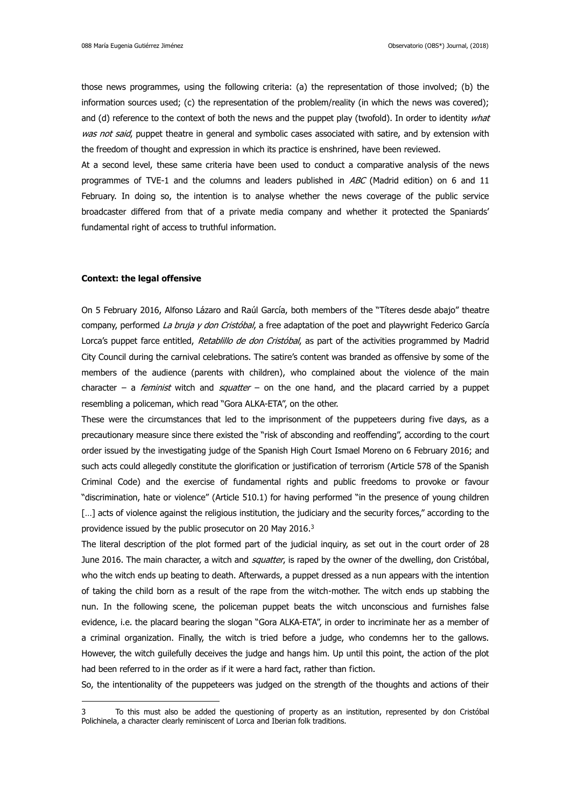those news programmes, using the following criteria: (a) the representation of those involved; (b) the information sources used; (c) the representation of the problem/reality (in which the news was covered); and (d) reference to the context of both the news and the puppet play (twofold). In order to identity what was not said, puppet theatre in general and symbolic cases associated with satire, and by extension with the freedom of thought and expression in which its practice is enshrined, have been reviewed.

At a second level, these same criteria have been used to conduct a comparative analysis of the news programmes of TVE-1 and the columns and leaders published in  $ABC$  (Madrid edition) on 6 and 11 February. In doing so, the intention is to analyse whether the news coverage of the public service broadcaster differed from that of a private media company and whether it protected the Spaniards' fundamental right of access to truthful information.

### **Context: the legal offensive**

<u>.</u>

On 5 February 2016, Alfonso Lázaro and Raúl García, both members of the "Títeres desde abajo" theatre company, performed La bruja y don Cristóbal, a free adaptation of the poet and playwright Federico García Lorca's puppet farce entitled, Retablillo de don Cristóbal, as part of the activities programmed by Madrid City Council during the carnival celebrations. The satire's content was branded as offensive by some of the members of the audience (parents with children), who complained about the violence of the main character – a *feminist* witch and *squatter* – on the one hand, and the placard carried by a puppet resembling a policeman, which read "Gora ALKA-ETA", on the other.

These were the circumstances that led to the imprisonment of the puppeteers during five days, as a precautionary measure since there existed the "risk of absconding and reoffending", according to the court order issued by the investigating judge of the Spanish High Court Ismael Moreno on 6 February 2016; and such acts could allegedly constitute the glorification or justification of terrorism (Article 578 of the Spanish Criminal Code) and the exercise of fundamental rights and public freedoms to provoke or favour "discrimination, hate or violence" (Article 510.1) for having performed "in the presence of young children [...] acts of violence against the religious institution, the judiciary and the security forces," according to the providence issued by the public prosecutor on 20 May 2016.<sup>3</sup>

The literal description of the plot formed part of the judicial inquiry, as set out in the court order of 28 June 2016. The main character, a witch and *squatter*, is raped by the owner of the dwelling, don Cristóbal, who the witch ends up beating to death. Afterwards, a puppet dressed as a nun appears with the intention of taking the child born as a result of the rape from the witch-mother. The witch ends up stabbing the nun. In the following scene, the policeman puppet beats the witch unconscious and furnishes false evidence, i.e. the placard bearing the slogan "Gora ALKA-ETA", in order to incriminate her as a member of a criminal organization. Finally, the witch is tried before a judge, who condemns her to the gallows. However, the witch guilefully deceives the judge and hangs him. Up until this point, the action of the plot had been referred to in the order as if it were a hard fact, rather than fiction.

So, the intentionality of the puppeteers was judged on the strength of the thoughts and actions of their

To this must also be added the questioning of property as an institution, represented by don Cristóbal Polichinela, a character clearly reminiscent of Lorca and Iberian folk traditions.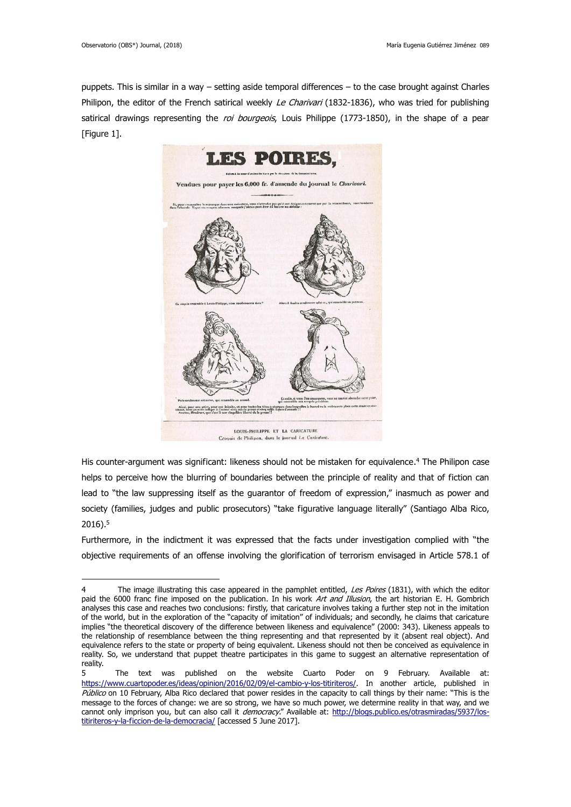<u>.</u>

puppets. This is similar in a way – setting aside temporal differences – to the case brought against Charles Philipon, the editor of the French satirical weekly Le Charivari (1832-1836), who was tried for publishing satirical drawings representing the roi bourgeois, Louis Philippe (1773-1850), in the shape of a pear [Figure 1].



 $C<sub>con</sub>$ is de Philipon, dans le journal La Caricature.

His counter-argument was significant: likeness should not be mistaken for equivalence. <sup>4</sup> The Philipon case helps to perceive how the blurring of boundaries between the principle of reality and that of fiction can lead to "the law suppressing itself as the guarantor of freedom of expression," inasmuch as power and society (families, judges and public prosecutors) "take figurative language literally" (Santiago Alba Rico, 2016). 5

Furthermore, in the indictment it was expressed that the facts under investigation complied with "the objective requirements of an offense involving the glorification of terrorism envisaged in Article 578.1 of

<sup>4</sup> The image illustrating this case appeared in the pamphlet entitled, Les Poires (1831), with which the editor paid the 6000 franc fine imposed on the publication. In his work Art and Illusion, the art historian E. H. Gombrich analyses this case and reaches two conclusions: firstly, that caricature involves taking a further step not in the imitation of the world, but in the exploration of the "capacity of imitation" of individuals; and secondly, he claims that caricature implies "the theoretical discovery of the difference between likeness and equivalence" (2000: 343). Likeness appeals to the relationship of resemblance between the thing representing and that represented by it (absent real object). And equivalence refers to the state or property of being equivalent. Likeness should not then be conceived as equivalence in reality. So, we understand that puppet theatre participates in this game to suggest an alternative representation of reality.

<sup>5</sup> The text was published on the website Cuarto Poder on 9 February. Available at: <https://www.cuartopoder.es/ideas/opinion/2016/02/09/el-cambio-y-los-titiriteros/>. In another article, published in Público on 10 February, Alba Rico declared that power resides in the capacity to call things by their name: "This is the message to the forces of change: we are so strong, we have so much power, we determine reality in that way, and we cannot only imprison you, but can also call it *democracy*." Available at: [http://blogs.publico.es/otrasmiradas/5937/los](http://blogs.publico.es/otrasmiradas/5937/los-titiriteros-y-la-ficcion-de-la-democracia/)[titiriteros-y-la-ficcion-de-la-democracia/](http://blogs.publico.es/otrasmiradas/5937/los-titiriteros-y-la-ficcion-de-la-democracia/) [accessed 5 June 2017].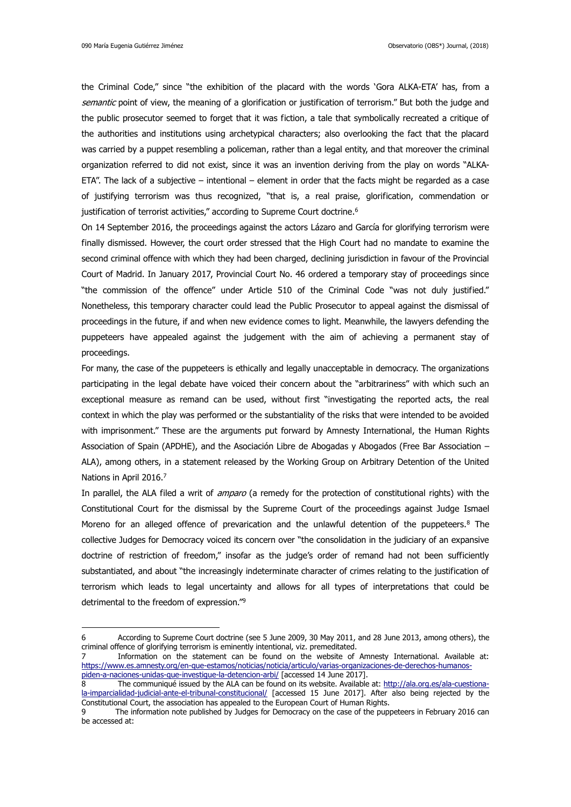the Criminal Code," since "the exhibition of the placard with the words 'Gora ALKA-ETA' has, from a semantic point of view, the meaning of a glorification or justification of terrorism." But both the judge and the public prosecutor seemed to forget that it was fiction, a tale that symbolically recreated a critique of the authorities and institutions using archetypical characters; also overlooking the fact that the placard was carried by a puppet resembling a policeman, rather than a legal entity, and that moreover the criminal organization referred to did not exist, since it was an invention deriving from the play on words "ALKA-ETA". The lack of a subjective – intentional – element in order that the facts might be regarded as a case of justifying terrorism was thus recognized, "that is, a real praise, glorification, commendation or justification of terrorist activities," according to Supreme Court doctrine.<sup>6</sup>

On 14 September 2016, the proceedings against the actors Lázaro and García for glorifying terrorism were finally dismissed. However, the court order stressed that the High Court had no mandate to examine the second criminal offence with which they had been charged, declining jurisdiction in favour of the Provincial Court of Madrid. In January 2017, Provincial Court No. 46 ordered a temporary stay of proceedings since "the commission of the offence" under Article 510 of the Criminal Code "was not duly justified." Nonetheless, this temporary character could lead the Public Prosecutor to appeal against the dismissal of proceedings in the future, if and when new evidence comes to light. Meanwhile, the lawyers defending the puppeteers have appealed against the judgement with the aim of achieving a permanent stay of proceedings.

For many, the case of the puppeteers is ethically and legally unacceptable in democracy. The organizations participating in the legal debate have voiced their concern about the "arbitrariness" with which such an exceptional measure as remand can be used, without first "investigating the reported acts, the real context in which the play was performed or the substantiality of the risks that were intended to be avoided with imprisonment." These are the arguments put forward by Amnesty International, the Human Rights Association of Spain (APDHE), and the Asociación Libre de Abogadas y Abogados (Free Bar Association – ALA), among others, in a statement released by the Working Group on Arbitrary Detention of the United Nations in April 2016.7

In parallel, the ALA filed a writ of *amparo* (a remedy for the protection of constitutional rights) with the Constitutional Court for the dismissal by the Supreme Court of the proceedings against Judge Ismael Moreno for an alleged offence of prevarication and the unlawful detention of the puppeteers.<sup>8</sup> The collective Judges for Democracy voiced its concern over "the consolidation in the judiciary of an expansive doctrine of restriction of freedom," insofar as the judge's order of remand had not been sufficiently substantiated, and about "the increasingly indeterminate character of crimes relating to the justification of terrorism which leads to legal uncertainty and allows for all types of interpretations that could be detrimental to the freedom of expression."<sup>9</sup>

<sup>6</sup> According to Supreme Court doctrine (see 5 June 2009, 30 May 2011, and 28 June 2013, among others), the criminal offence of glorifying terrorism is eminently intentional, viz. premeditated.

<sup>7</sup> Information on the statement can be found on the website of Amnesty International. Available at: [https://www.es.amnesty.org/en-que-estamos/noticias/noticia/articulo/varias-organizaciones-de-derechos-humanos](https://www.es.amnesty.org/en-que-estamos/noticias/noticia/articulo/varias-organizaciones-de-derechos-humanos-piden-a-naciones-unidas-que-investigue-la-detencion-arbi/)[piden-a-naciones-unidas-que-investigue-la-detencion-arbi/](https://www.es.amnesty.org/en-que-estamos/noticias/noticia/articulo/varias-organizaciones-de-derechos-humanos-piden-a-naciones-unidas-que-investigue-la-detencion-arbi/) [accessed 14 June 2017].

<sup>8</sup> The communiqué issued by the ALA can be found on its website. Available at: [http://ala.org.es/ala-cuestiona](http://ala.org.es/ala-cuestiona-la-imparcialidad-judicial-ante-el-tribunal-constitucional/)[la-imparcialidad-judicial-ante-el-tribunal-constitucional/](http://ala.org.es/ala-cuestiona-la-imparcialidad-judicial-ante-el-tribunal-constitucional/) [accessed 15 June 2017]. After also being rejected by the Constitutional Court, the association has appealed to the European Court of Human Rights.

<sup>9</sup> The information note published by Judges for Democracy on the case of the puppeteers in February 2016 can be accessed at: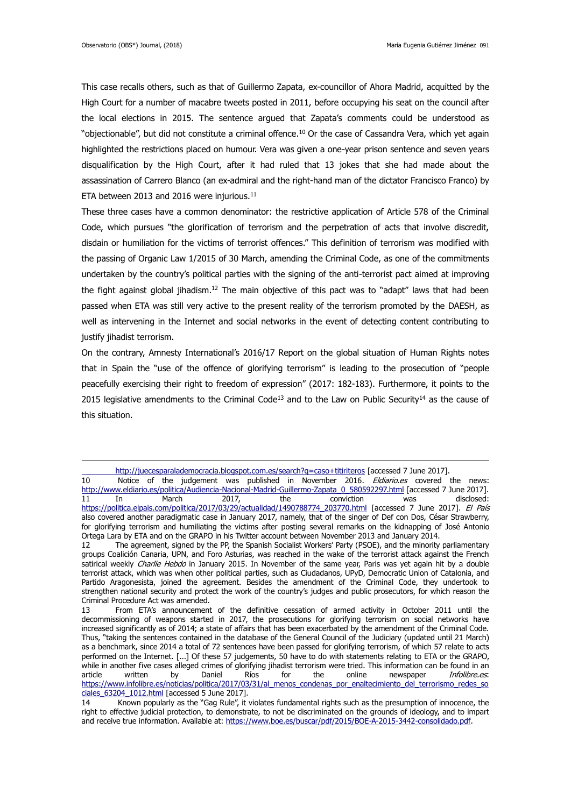<u>.</u>

This case recalls others, such as that of Guillermo Zapata, ex-councillor of Ahora Madrid, acquitted by the High Court for a number of macabre tweets posted in 2011, before occupying his seat on the council after the local elections in 2015. The sentence argued that Zapata's comments could be understood as "objectionable", but did not constitute a criminal offence. <sup>10</sup> Or the case of Cassandra Vera, which yet again highlighted the restrictions placed on humour. Vera was given a one-year prison sentence and seven years disqualification by the High Court, after it had ruled that 13 jokes that she had made about the assassination of Carrero Blanco (an ex-admiral and the right-hand man of the dictator Francisco Franco) by ETA between 2013 and 2016 were injurious.<sup>11</sup>

These three cases have a common denominator: the restrictive application of Article 578 of the Criminal Code, which pursues "the glorification of terrorism and the perpetration of acts that involve discredit, disdain or humiliation for the victims of terrorist offences." This definition of terrorism was modified with the passing of Organic Law 1/2015 of 30 March, amending the Criminal Code, as one of the commitments undertaken by the country's political parties with the signing of the anti-terrorist pact aimed at improving the fight against global jihadism.<sup>12</sup> The main objective of this pact was to "adapt" laws that had been passed when ETA was still very active to the present reality of the terrorism promoted by the DAESH, as well as intervening in the Internet and social networks in the event of detecting content contributing to justify jihadist terrorism.

On the contrary, Amnesty International's 2016/17 Report on the global situation of Human Rights notes that in Spain the "use of the offence of glorifying terrorism" is leading to the prosecution of "people peacefully exercising their right to freedom of expression" (2017: 182-183). Furthermore, it points to the 2015 legislative amendments to the Criminal Code<sup>13</sup> and to the Law on Public Security<sup>14</sup> as the cause of this situation.

<http://juecesparalademocracia.blogspot.com.es/search?q=caso+titiriteros> [accessed 7 June 2017].

<sup>10</sup> Notice of the judgement was published in November 2016. *Eldiario.es* covered the news: [http://www.eldiario.es/politica/Audiencia-Nacional-Madrid-Guillermo-Zapata\\_0\\_580592297.html](http://www.eldiario.es/politica/Audiencia-Nacional-Madrid-Guillermo-Zapata_0_580592297.html) [accessed 7 June 2017]. 11 In March 2017, the conviction was disclosed: [https://politica.elpais.com/politica/2017/03/29/actualidad/1490788774\\_203770.html](https://politica.elpais.com/politica/2017/03/29/actualidad/1490788774_203770.html) [accessed 7 June 2017]. El País also covered another paradigmatic case in January 2017, namely, that of the singer of Def con Dos, César Strawberry, for glorifying terrorism and humiliating the victims after posting several remarks on the kidnapping of José Antonio Ortega Lara by ETA and on the GRAPO in his Twitter account between November 2013 and January 2014.

<sup>12</sup> The agreement, signed by the PP, the Spanish Socialist Workers' Party (PSOE), and the minority parliamentary groups Coalición Canaria, UPN, and Foro Asturias, was reached in the wake of the terrorist attack against the French satirical weekly Charlie Hebdo in January 2015. In November of the same year, Paris was yet again hit by a double terrorist attack, which was when other political parties, such as Ciudadanos, UPyD, Democratic Union of Catalonia, and Partido Aragonesista, joined the agreement. Besides the amendment of the Criminal Code, they undertook to strengthen national security and protect the work of the country's judges and public prosecutors, for which reason the Criminal Procedure Act was amended.

<sup>13</sup> From ETA's announcement of the definitive cessation of armed activity in October 2011 until the decommissioning of weapons started in 2017, the prosecutions for glorifying terrorism on social networks have increased significantly as of 2014; a state of affairs that has been exacerbated by the amendment of the Criminal Code. Thus, "taking the sentences contained in the database of the General Council of the Judiciary (updated until 21 March) as a benchmark, since 2014 a total of 72 sentences have been passed for glorifying terrorism, of which 57 relate to acts performed on the Internet. [...] Of these 57 judgements, 50 have to do with statements relating to ETA or the GRAPO, while in another five cases alleged crimes of glorifying jihadist terrorism were tried. This information can be found in an article written by Daniel Ríos for the online newspaper *Infolibre.es*: [https://www.infolibre.es/noticias/politica/2017/03/31/al\\_menos\\_condenas\\_por\\_enaltecimiento\\_del\\_terrorismo\\_redes\\_so](https://www.infolibre.es/noticias/politica/2017/03/31/al_menos_condenas_por_enaltecimiento_del_terrorismo_redes_sociales_63204_1012.html) [ciales\\_63204\\_1012.html](https://www.infolibre.es/noticias/politica/2017/03/31/al_menos_condenas_por_enaltecimiento_del_terrorismo_redes_sociales_63204_1012.html) [accessed 5 June 2017].

<sup>14</sup> Known popularly as the "Gag Rule", it violates fundamental rights such as the presumption of innocence, the right to effective judicial protection, to demonstrate, to not be discriminated on the grounds of ideology, and to impart and receive true information. Available at[: https://www.boe.es/buscar/pdf/2015/BOE-A-2015-3442-consolidado.pdf.](https://www.boe.es/buscar/pdf/2015/BOE-A-2015-3442-consolidado.pdf)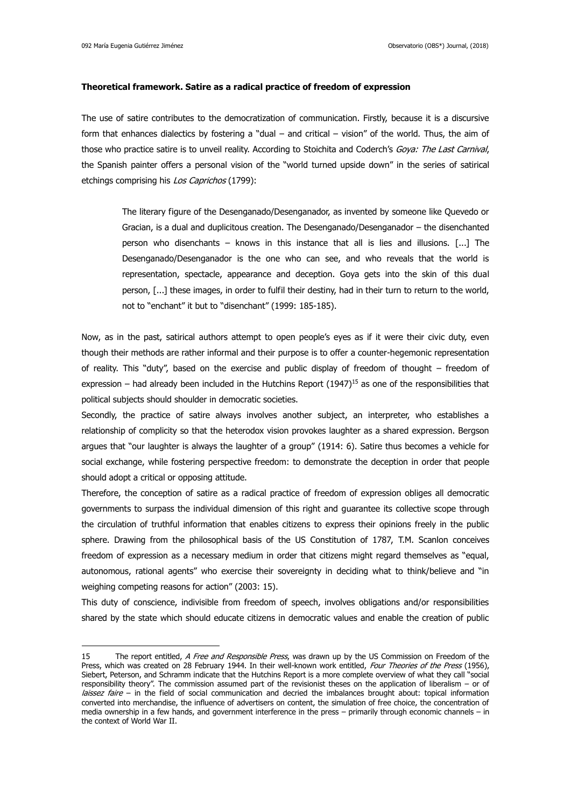### **Theoretical framework. Satire as a radical practice of freedom of expression**

The use of satire contributes to the democratization of communication. Firstly, because it is a discursive form that enhances dialectics by fostering a "dual – and critical – vision" of the world. Thus, the aim of those who practice satire is to unveil reality. According to Stoichita and Coderch's Goya: The Last Carnival, the Spanish painter offers a personal vision of the "world turned upside down" in the series of satirical etchings comprising his Los Caprichos (1799):

The literary figure of the Desenganado/Desenganador, as invented by someone like Quevedo or Gracian, is a dual and duplicitous creation. The Desenganado/Desenganador – the disenchanted person who disenchants – knows in this instance that all is lies and illusions. [...] The Desenganado/Desenganador is the one who can see, and who reveals that the world is representation, spectacle, appearance and deception. Goya gets into the skin of this dual person, [...] these images, in order to fulfil their destiny, had in their turn to return to the world, not to "enchant" it but to "disenchant" (1999: 185-185).

Now, as in the past, satirical authors attempt to open people's eyes as if it were their civic duty, even though their methods are rather informal and their purpose is to offer a counter-hegemonic representation of reality. This "duty", based on the exercise and public display of freedom of thought – freedom of expression – had already been included in the Hutchins Report  $(1947)^{15}$  as one of the responsibilities that political subjects should shoulder in democratic societies.

Secondly, the practice of satire always involves another subject, an interpreter, who establishes a relationship of complicity so that the heterodox vision provokes laughter as a shared expression. Bergson argues that "our laughter is always the laughter of a group" (1914: 6). Satire thus becomes a vehicle for social exchange, while fostering perspective freedom: to demonstrate the deception in order that people should adopt a critical or opposing attitude.

Therefore, the conception of satire as a radical practice of freedom of expression obliges all democratic governments to surpass the individual dimension of this right and guarantee its collective scope through the circulation of truthful information that enables citizens to express their opinions freely in the public sphere. Drawing from the philosophical basis of the US Constitution of 1787, T.M. Scanlon conceives freedom of expression as a necessary medium in order that citizens might regard themselves as "equal, autonomous, rational agents" who exercise their sovereignty in deciding what to think/believe and "in weighing competing reasons for action" (2003: 15).

This duty of conscience, indivisible from freedom of speech, involves obligations and/or responsibilities shared by the state which should educate citizens in democratic values and enable the creation of public

<sup>15</sup> The report entitled, A Free and Responsible Press, was drawn up by the US Commission on Freedom of the Press, which was created on 28 February 1944. In their well-known work entitled, Four Theories of the Press (1956), Siebert, Peterson, and Schramm indicate that the Hutchins Report is a more complete overview of what they call "social responsibility theory". The commission assumed part of the revisionist theses on the application of liberalism – or of laissez faire - in the field of social communication and decried the imbalances brought about: topical information converted into merchandise, the influence of advertisers on content, the simulation of free choice, the concentration of media ownership in a few hands, and government interference in the press – primarily through economic channels – in the context of World War II.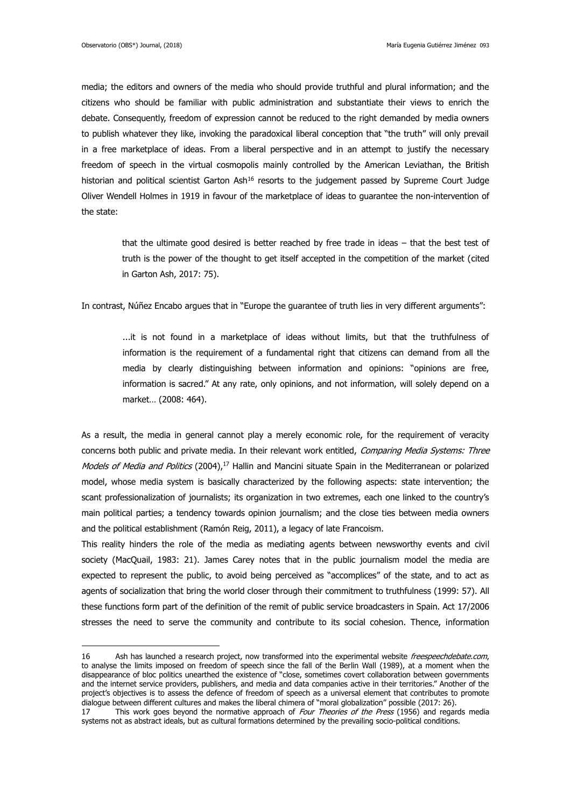media; the editors and owners of the media who should provide truthful and plural information; and the citizens who should be familiar with public administration and substantiate their views to enrich the debate. Consequently, freedom of expression cannot be reduced to the right demanded by media owners to publish whatever they like, invoking the paradoxical liberal conception that "the truth" will only prevail in a free marketplace of ideas. From a liberal perspective and in an attempt to justify the necessary freedom of speech in the virtual cosmopolis mainly controlled by the American Leviathan, the British historian and political scientist Garton Ash<sup>16</sup> resorts to the judgement passed by Supreme Court Judge Oliver Wendell Holmes in 1919 in favour of the marketplace of ideas to guarantee the non-intervention of the state:

that the ultimate good desired is better reached by free trade in ideas – that the best test of truth is the power of the thought to get itself accepted in the competition of the market (cited in Garton Ash, 2017: 75).

In contrast, Núñez Encabo argues that in "Europe the guarantee of truth lies in very different arguments":

...it is not found in a marketplace of ideas without limits, but that the truthfulness of information is the requirement of a fundamental right that citizens can demand from all the media by clearly distinguishing between information and opinions: "opinions are free, information is sacred." At any rate, only opinions, and not information, will solely depend on a market… (2008: 464).

As a result, the media in general cannot play a merely economic role, for the requirement of veracity concerns both public and private media. In their relevant work entitled, Comparing Media Systems: Three Models of Media and Politics (2004),<sup>17</sup> Hallin and Mancini situate Spain in the Mediterranean or polarized model, whose media system is basically characterized by the following aspects: state intervention; the scant professionalization of journalists; its organization in two extremes, each one linked to the country's main political parties; a tendency towards opinion journalism; and the close ties between media owners and the political establishment (Ramón Reig, 2011), a legacy of late Francoism.

This reality hinders the role of the media as mediating agents between newsworthy events and civil society (MacQuail, 1983: 21). James Carey notes that in the public journalism model the media are expected to represent the public, to avoid being perceived as "accomplices" of the state, and to act as agents of socialization that bring the world closer through their commitment to truthfulness (1999: 57). All these functions form part of the definition of the remit of public service broadcasters in Spain. Act 17/2006 stresses the need to serve the community and contribute to its social cohesion. Thence, information

<sup>16</sup> Ash has launched a research project, now transformed into the experimental website *freespeechdebate.com*, to analyse the limits imposed on freedom of speech since the fall of the Berlin Wall (1989), at a moment when the disappearance of bloc politics unearthed the existence of "close, sometimes covert collaboration between governments and the internet service providers, publishers, and media and data companies active in their territories." Another of the project's objectives is to assess the defence of freedom of speech as a universal element that contributes to promote dialogue between different cultures and makes the liberal chimera of "moral globalization" possible (2017: 26).

<sup>17</sup> This work goes beyond the normative approach of Four Theories of the Press (1956) and regards media systems not as abstract ideals, but as cultural formations determined by the prevailing socio-political conditions.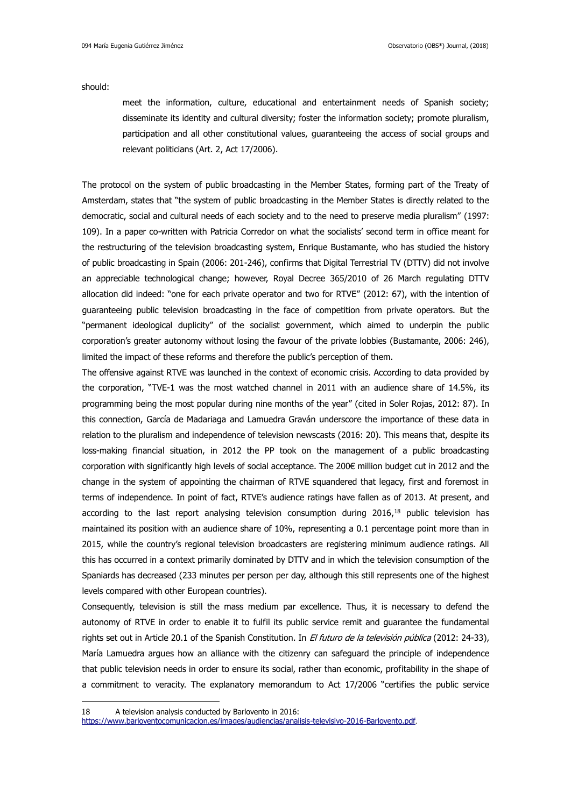should:

meet the information, culture, educational and entertainment needs of Spanish society; disseminate its identity and cultural diversity; foster the information society; promote pluralism, participation and all other constitutional values, guaranteeing the access of social groups and relevant politicians (Art. 2, Act 17/2006).

The protocol on the system of public broadcasting in the Member States, forming part of the Treaty of Amsterdam, states that "the system of public broadcasting in the Member States is directly related to the democratic, social and cultural needs of each society and to the need to preserve media pluralism" (1997: 109). In a paper co-written with Patricia Corredor on what the socialists' second term in office meant for the restructuring of the television broadcasting system, Enrique Bustamante, who has studied the history of public broadcasting in Spain (2006: 201-246), confirms that Digital Terrestrial TV (DTTV) did not involve an appreciable technological change; however, Royal Decree 365/2010 of 26 March regulating DTTV allocation did indeed: "one for each private operator and two for RTVE" (2012: 67), with the intention of guaranteeing public television broadcasting in the face of competition from private operators. But the "permanent ideological duplicity" of the socialist government, which aimed to underpin the public corporation's greater autonomy without losing the favour of the private lobbies (Bustamante, 2006: 246), limited the impact of these reforms and therefore the public's perception of them.

The offensive against RTVE was launched in the context of economic crisis. According to data provided by the corporation, "TVE-1 was the most watched channel in 2011 with an audience share of 14.5%, its programming being the most popular during nine months of the year" (cited in Soler Rojas, 2012: 87). In this connection, García de Madariaga and Lamuedra Graván underscore the importance of these data in relation to the pluralism and independence of television newscasts (2016: 20). This means that, despite its loss-making financial situation, in 2012 the PP took on the management of a public broadcasting corporation with significantly high levels of social acceptance. The 200€ million budget cut in 2012 and the change in the system of appointing the chairman of RTVE squandered that legacy, first and foremost in terms of independence. In point of fact, RTVE's audience ratings have fallen as of 2013. At present, and according to the last report analysing television consumption during 2016,<sup>18</sup> public television has maintained its position with an audience share of 10%, representing a 0.1 percentage point more than in 2015, while the country's regional television broadcasters are registering minimum audience ratings. All this has occurred in a context primarily dominated by DTTV and in which the television consumption of the Spaniards has decreased (233 minutes per person per day, although this still represents one of the highest levels compared with other European countries).

Consequently, television is still the mass medium par excellence. Thus, it is necessary to defend the autonomy of RTVE in order to enable it to fulfil its public service remit and guarantee the fundamental rights set out in Article 20.1 of the Spanish Constitution. In El futuro de la televisión pública (2012: 24-33), María Lamuedra argues how an alliance with the citizenry can safeguard the principle of independence that public television needs in order to ensure its social, rather than economic, profitability in the shape of a commitment to veracity. The explanatory memorandum to Act 17/2006 "certifies the public service

<u>.</u>

<sup>18</sup> A television analysis conducted by Barlovento in 2016:

<https://www.barloventocomunicacion.es/images/audiencias/analisis-televisivo-2016-Barlovento.pdf>.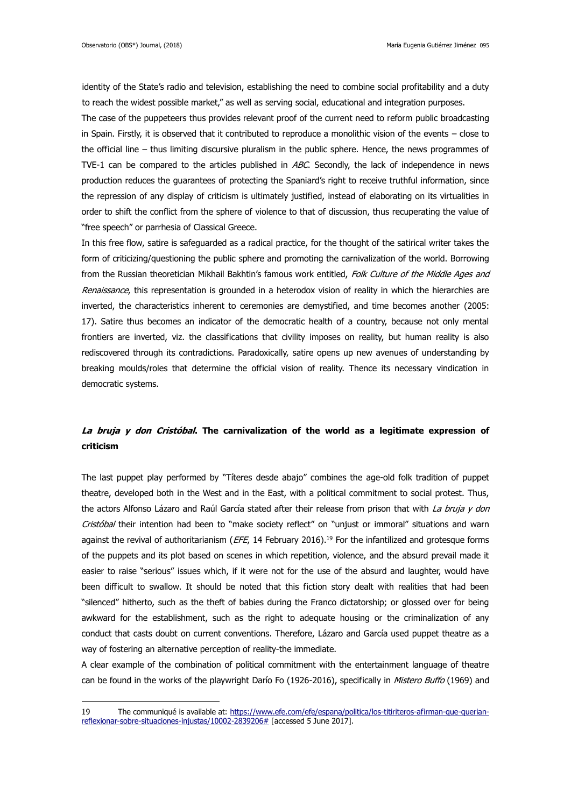<u>.</u>

identity of the State's radio and television, establishing the need to combine social profitability and a duty to reach the widest possible market," as well as serving social, educational and integration purposes. The case of the puppeteers thus provides relevant proof of the current need to reform public broadcasting in Spain. Firstly, it is observed that it contributed to reproduce a monolithic vision of the events – close to the official line – thus limiting discursive pluralism in the public sphere. Hence, the news programmes of TVE-1 can be compared to the articles published in ABC. Secondly, the lack of independence in news production reduces the guarantees of protecting the Spaniard's right to receive truthful information, since the repression of any display of criticism is ultimately justified, instead of elaborating on its virtualities in order to shift the conflict from the sphere of violence to that of discussion, thus recuperating the value of "free speech" or parrhesia of Classical Greece.

In this free flow, satire is safeguarded as a radical practice, for the thought of the satirical writer takes the form of criticizing/questioning the public sphere and promoting the carnivalization of the world. Borrowing from the Russian theoretician Mikhail Bakhtin's famous work entitled, Folk Culture of the Middle Ages and Renaissance, this representation is grounded in a heterodox vision of reality in which the hierarchies are inverted, the characteristics inherent to ceremonies are demystified, and time becomes another (2005: 17). Satire thus becomes an indicator of the democratic health of a country, because not only mental frontiers are inverted, viz. the classifications that civility imposes on reality, but human reality is also rediscovered through its contradictions. Paradoxically, satire opens up new avenues of understanding by breaking moulds/roles that determine the official vision of reality. Thence its necessary vindication in democratic systems.

## **La bruja y don Cristóbal. The carnivalization of the world as a legitimate expression of criticism**

The last puppet play performed by "Títeres desde abajo" combines the age-old folk tradition of puppet theatre, developed both in the West and in the East, with a political commitment to social protest. Thus, the actors Alfonso Lázaro and Raúl García stated after their release from prison that with La bruja y don Cristóbal their intention had been to "make society reflect" on "unjust or immoral" situations and warn against the revival of authoritarianism ( $EFE$ , 14 February 2016).<sup>19</sup> For the infantilized and grotesque forms of the puppets and its plot based on scenes in which repetition, violence, and the absurd prevail made it easier to raise "serious" issues which, if it were not for the use of the absurd and laughter, would have been difficult to swallow. It should be noted that this fiction story dealt with realities that had been "silenced" hitherto, such as the theft of babies during the Franco dictatorship; or glossed over for being awkward for the establishment, such as the right to adequate housing or the criminalization of any conduct that casts doubt on current conventions. Therefore, Lázaro and García used puppet theatre as a way of fostering an alternative perception of reality-the immediate.

A clear example of the combination of political commitment with the entertainment language of theatre can be found in the works of the playwright Darío Fo (1926-2016), specifically in Mistero Buffo (1969) and

<sup>19</sup> The communiqué is available at: [https://www.efe.com/efe/espana/politica/los-titiriteros-afirman-que-querian](https://www.efe.com/efe/espana/politica/los-titiriteros-afirman-que-querian-reflexionar-sobre-situaciones-injustas/10002-2839206)[reflexionar-sobre-situaciones-injustas/10002-2839206#](https://www.efe.com/efe/espana/politica/los-titiriteros-afirman-que-querian-reflexionar-sobre-situaciones-injustas/10002-2839206) [accessed 5 June 2017].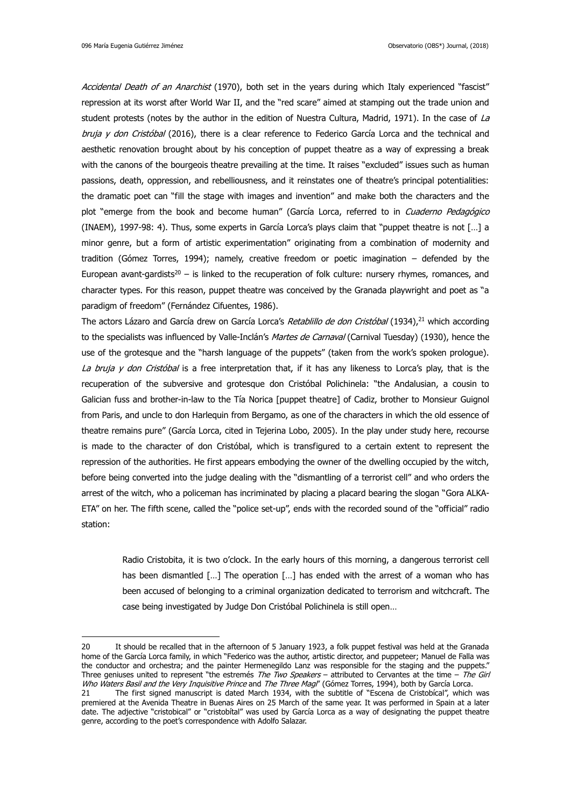Accidental Death of an Anarchist (1970), both set in the years during which Italy experienced "fascist" repression at its worst after World War II, and the "red scare" aimed at stamping out the trade union and student protests (notes by the author in the edition of Nuestra Cultura, Madrid, 1971). In the case of La bruja y don Cristóbal (2016), there is a clear reference to Federico García Lorca and the technical and aesthetic renovation brought about by his conception of puppet theatre as a way of expressing a break with the canons of the bourgeois theatre prevailing at the time. It raises "excluded" issues such as human passions, death, oppression, and rebelliousness, and it reinstates one of theatre's principal potentialities: the dramatic poet can "fill the stage with images and invention" and make both the characters and the plot "emerge from the book and become human" (García Lorca, referred to in Cuaderno Pedagógico (INAEM), 1997-98: 4). Thus, some experts in García Lorca's plays claim that "puppet theatre is not […] a minor genre, but a form of artistic experimentation" originating from a combination of modernity and tradition (Gómez Torres, 1994); namely, creative freedom or poetic imagination – defended by the European avant-gardists<sup>20</sup> – is linked to the recuperation of folk culture: nursery rhymes, romances, and character types. For this reason, puppet theatre was conceived by the Granada playwright and poet as "a paradigm of freedom" (Fernández Cifuentes, 1986).

The actors Lázaro and García drew on García Lorca's *Retablillo de don Cristóbal* (1934),<sup>21</sup> which according to the specialists was influenced by Valle-Inclán's Martes de Carnaval (Carnival Tuesday) (1930), hence the use of the grotesque and the "harsh language of the puppets" (taken from the work's spoken prologue). La bruja y don Cristóbal is a free interpretation that, if it has any likeness to Lorca's play, that is the recuperation of the subversive and grotesque don Cristóbal Polichinela: "the Andalusian, a cousin to Galician fuss and brother-in-law to the Tía Norica [puppet theatre] of Cadiz, brother to Monsieur Guignol from Paris, and uncle to don Harlequin from Bergamo, as one of the characters in which the old essence of theatre remains pure" (García Lorca, cited in Tejerina Lobo, 2005). In the play under study here, recourse is made to the character of don Cristóbal, which is transfigured to a certain extent to represent the repression of the authorities. He first appears embodying the owner of the dwelling occupied by the witch, before being converted into the judge dealing with the "dismantling of a terrorist cell" and who orders the arrest of the witch, who a policeman has incriminated by placing a placard bearing the slogan "Gora ALKA-ETA" on her. The fifth scene, called the "police set-up", ends with the recorded sound of the "official" radio station:

Radio Cristobita, it is two o'clock. In the early hours of this morning, a dangerous terrorist cell has been dismantled [...] The operation [...] has ended with the arrest of a woman who has been accused of belonging to a criminal organization dedicated to terrorism and witchcraft. The case being investigated by Judge Don Cristóbal Polichinela is still open…

<sup>20</sup> It should be recalled that in the afternoon of 5 January 1923, a folk puppet festival was held at the Granada home of the García Lorca family, in which "Federico was the author, artistic director, and puppeteer; Manuel de Falla was the conductor and orchestra; and the painter Hermenegildo Lanz was responsible for the staging and the puppets." Three geniuses united to represent "the estremés The Two Speakers – attributed to Cervantes at the time – The Girl Who Waters Basil and the Very Inquisitive Prince and The Three Magi" (Gómez Torres, 1994), both by García Lorca.

<sup>21</sup> The first signed manuscript is dated March 1934, with the subtitle of "Escena de Cristobícal", which was premiered at the Avenida Theatre in Buenas Aires on 25 March of the same year. It was performed in Spain at a later date. The adjective "cristobical" or "cristobítal" was used by García Lorca as a way of designating the puppet theatre genre, according to the poet's correspondence with Adolfo Salazar.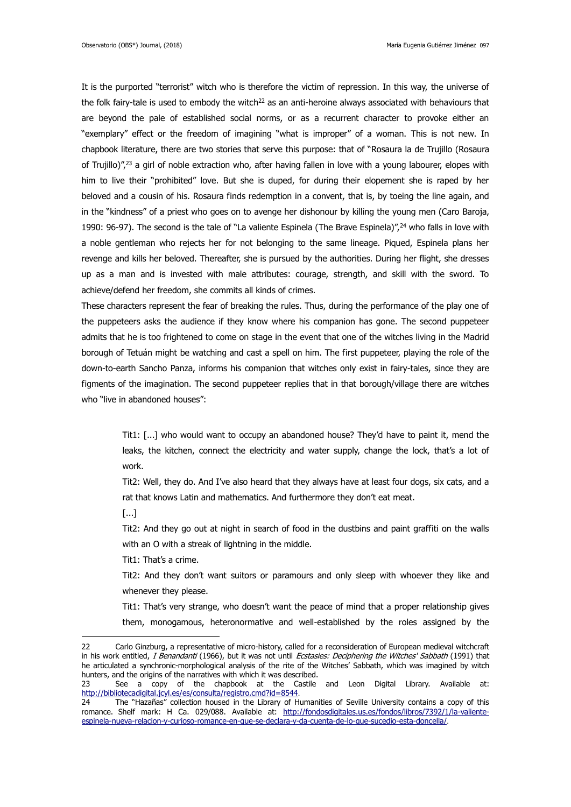It is the purported "terrorist" witch who is therefore the victim of repression. In this way, the universe of the folk fairy-tale is used to embody the witch<sup>22</sup> as an anti-heroine always associated with behaviours that are beyond the pale of established social norms, or as a recurrent character to provoke either an "exemplary" effect or the freedom of imagining "what is improper" of a woman. This is not new. In chapbook literature, there are two stories that serve this purpose: that of "Rosaura la de Trujillo (Rosaura of Trujillo)",<sup>23</sup> a girl of noble extraction who, after having fallen in love with a young labourer, elopes with him to live their "prohibited" love. But she is duped, for during their elopement she is raped by her beloved and a cousin of his. Rosaura finds redemption in a convent, that is, by toeing the line again, and in the "kindness" of a priest who goes on to avenge her dishonour by killing the young men (Caro Baroja, 1990: 96-97). The second is the tale of "La valiente Espinela (The Brave Espinela)", $24$  who falls in love with a noble gentleman who rejects her for not belonging to the same lineage. Piqued, Espinela plans her revenge and kills her beloved. Thereafter, she is pursued by the authorities. During her flight, she dresses up as a man and is invested with male attributes: courage, strength, and skill with the sword. To achieve/defend her freedom, she commits all kinds of crimes.

These characters represent the fear of breaking the rules. Thus, during the performance of the play one of the puppeteers asks the audience if they know where his companion has gone. The second puppeteer admits that he is too frightened to come on stage in the event that one of the witches living in the Madrid borough of Tetuán might be watching and cast a spell on him. The first puppeteer, playing the role of the down-to-earth Sancho Panza, informs his companion that witches only exist in fairy-tales, since they are figments of the imagination. The second puppeteer replies that in that borough/village there are witches who "live in abandoned houses":

Tit1: [...] who would want to occupy an abandoned house? They'd have to paint it, mend the leaks, the kitchen, connect the electricity and water supply, change the lock, that's a lot of work.

Tit2: Well, they do. And I've also heard that they always have at least four dogs, six cats, and a rat that knows Latin and mathematics. And furthermore they don't eat meat.

[...]

1

Tit2: And they go out at night in search of food in the dustbins and paint graffiti on the walls with an O with a streak of lightning in the middle.

Tit1: That's a crime.

Tit2: And they don't want suitors or paramours and only sleep with whoever they like and whenever they please.

Tit1: That's very strange, who doesn't want the peace of mind that a proper relationship gives them, monogamous, heteronormative and well-established by the roles assigned by the

<sup>22</sup> Carlo Ginzburg, a representative of micro-history, called for a reconsideration of European medieval witchcraft in his work entitled, I Benandanti (1966), but it was not until Ecstasies: Deciphering the Witches' Sabbath (1991) that he articulated a synchronic-morphological analysis of the rite of the Witches' Sabbath, which was imagined by witch hunters, and the origins of the narratives with which it was described.

<sup>23</sup> See a copy of the chapbook at the Castile and Leon Digital Library. Available at: <http://bibliotecadigital.jcyl.es/es/consulta/registro.cmd?id=8544>.

<sup>24</sup> The "Hazañas" collection housed in the Library of Humanities of Seville University contains a copy of this romance. Shelf mark: H Ca. 029/088. Available at: [http://fondosdigitales.us.es/fondos/libros/7392/1/la-valiente](http://fondosdigitales.us.es/fondos/libros/7392/1/la-valiente-espinela-nueva-relacion-y-curioso-romance-en-que-se-declara-y-da-cuenta-de-lo-que-sucedio-esta-doncella/)[espinela-nueva-relacion-y-curioso-romance-en-que-se-declara-y-da-cuenta-de-lo-que-sucedio-esta-doncella/](http://fondosdigitales.us.es/fondos/libros/7392/1/la-valiente-espinela-nueva-relacion-y-curioso-romance-en-que-se-declara-y-da-cuenta-de-lo-que-sucedio-esta-doncella/).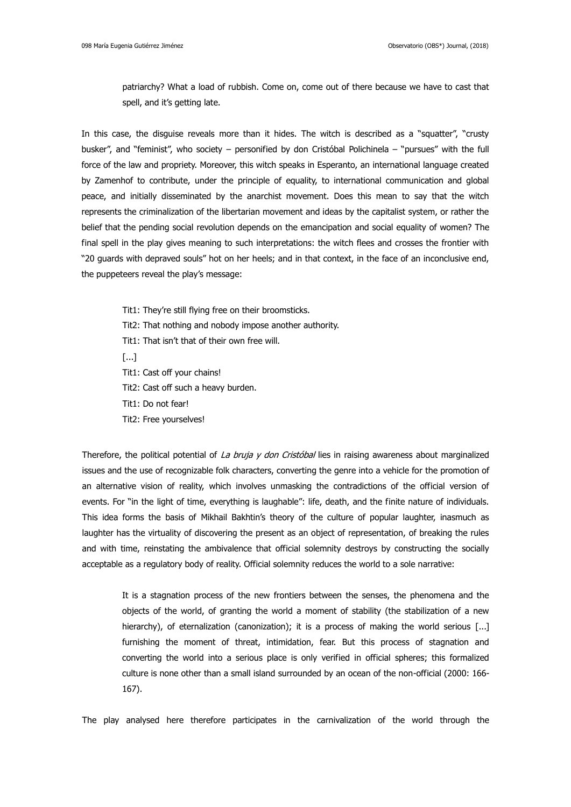patriarchy? What a load of rubbish. Come on, come out of there because we have to cast that spell, and it's getting late.

In this case, the disguise reveals more than it hides. The witch is described as a "squatter", "crusty busker", and "feminist", who society – personified by don Cristóbal Polichinela – "pursues" with the full force of the law and propriety. Moreover, this witch speaks in Esperanto, an international language created by Zamenhof to contribute, under the principle of equality, to international communication and global peace, and initially disseminated by the anarchist movement. Does this mean to say that the witch represents the criminalization of the libertarian movement and ideas by the capitalist system, or rather the belief that the pending social revolution depends on the emancipation and social equality of women? The final spell in the play gives meaning to such interpretations: the witch flees and crosses the frontier with "20 guards with depraved souls" hot on her heels; and in that context, in the face of an inconclusive end, the puppeteers reveal the play's message:

- Tit1: They're still flying free on their broomsticks.
- Tit2: That nothing and nobody impose another authority.
- Tit1: That isn't that of their own free will.
- [...]
- Tit1: Cast off your chains!
- Tit2: Cast off such a heavy burden.
- Tit1: Do not fear!
- Tit2: Free yourselves!

Therefore, the political potential of La bruja y don Cristóbal lies in raising awareness about marginalized issues and the use of recognizable folk characters, converting the genre into a vehicle for the promotion of an alternative vision of reality, which involves unmasking the contradictions of the official version of events. For "in the light of time, everything is laughable": life, death, and the finite nature of individuals. This idea forms the basis of Mikhail Bakhtin's theory of the culture of popular laughter, inasmuch as laughter has the virtuality of discovering the present as an object of representation, of breaking the rules and with time, reinstating the ambivalence that official solemnity destroys by constructing the socially acceptable as a regulatory body of reality. Official solemnity reduces the world to a sole narrative:

It is a stagnation process of the new frontiers between the senses, the phenomena and the objects of the world, of granting the world a moment of stability (the stabilization of a new hierarchy), of eternalization (canonization); it is a process of making the world serious [...] furnishing the moment of threat, intimidation, fear. But this process of stagnation and converting the world into a serious place is only verified in official spheres; this formalized culture is none other than a small island surrounded by an ocean of the non-official (2000: 166- 167).

The play analysed here therefore participates in the carnivalization of the world through the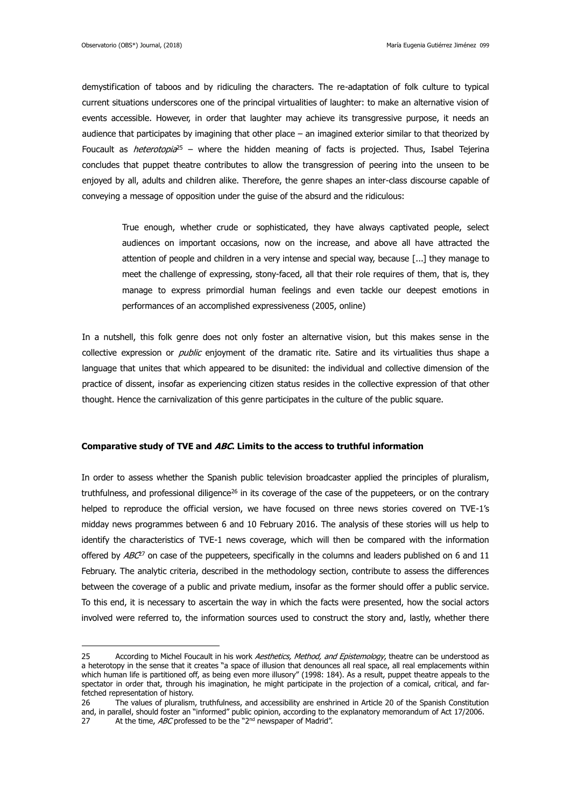demystification of taboos and by ridiculing the characters. The re-adaptation of folk culture to typical current situations underscores one of the principal virtualities of laughter: to make an alternative vision of events accessible. However, in order that laughter may achieve its transgressive purpose, it needs an audience that participates by imagining that other place – an imagined exterior similar to that theorized by Foucault as *heterotopia*<sup>25</sup> – where the hidden meaning of facts is projected. Thus, Isabel Tejerina concludes that puppet theatre contributes to allow the transgression of peering into the unseen to be enjoyed by all, adults and children alike. Therefore, the genre shapes an inter-class discourse capable of conveying a message of opposition under the guise of the absurd and the ridiculous:

True enough, whether crude or sophisticated, they have always captivated people, select audiences on important occasions, now on the increase, and above all have attracted the attention of people and children in a very intense and special way, because [...] they manage to meet the challenge of expressing, stony-faced, all that their role requires of them, that is, they manage to express primordial human feelings and even tackle our deepest emotions in performances of an accomplished expressiveness (2005, online)

In a nutshell, this folk genre does not only foster an alternative vision, but this makes sense in the collective expression or *public* enjoyment of the dramatic rite. Satire and its virtualities thus shape a language that unites that which appeared to be disunited: the individual and collective dimension of the practice of dissent, insofar as experiencing citizen status resides in the collective expression of that other thought. Hence the carnivalization of this genre participates in the culture of the public square.

### **Comparative study of TVE and ABC. Limits to the access to truthful information**

In order to assess whether the Spanish public television broadcaster applied the principles of pluralism, truthfulness, and professional diligence<sup>26</sup> in its coverage of the case of the puppeteers, or on the contrary helped to reproduce the official version, we have focused on three news stories covered on TVE-1's midday news programmes between 6 and 10 February 2016. The analysis of these stories will us help to identify the characteristics of TVE-1 news coverage, which will then be compared with the information offered by  $ABC^2$  on case of the puppeteers, specifically in the columns and leaders published on 6 and 11 February. The analytic criteria, described in the methodology section, contribute to assess the differences between the coverage of a public and private medium, insofar as the former should offer a public service. To this end, it is necessary to ascertain the way in which the facts were presented, how the social actors involved were referred to, the information sources used to construct the story and, lastly, whether there

<sup>25</sup> According to Michel Foucault in his work Aesthetics, Method, and Epistemology, theatre can be understood as a heterotopy in the sense that it creates "a space of illusion that denounces all real space, all real emplacements within which human life is partitioned off, as being even more illusory" (1998: 184). As a result, puppet theatre appeals to the spectator in order that, through his imagination, he might participate in the projection of a comical, critical, and farfetched representation of history.

<sup>26</sup> The values of pluralism, truthfulness, and accessibility are enshrined in Article 20 of the Spanish Constitution and, in parallel, should foster an "informed" public opinion, according to the explanatory memorandum of Act 17/2006. 27 At the time,  $ABC$  professed to be the "2<sup>nd</sup> newspaper of Madrid".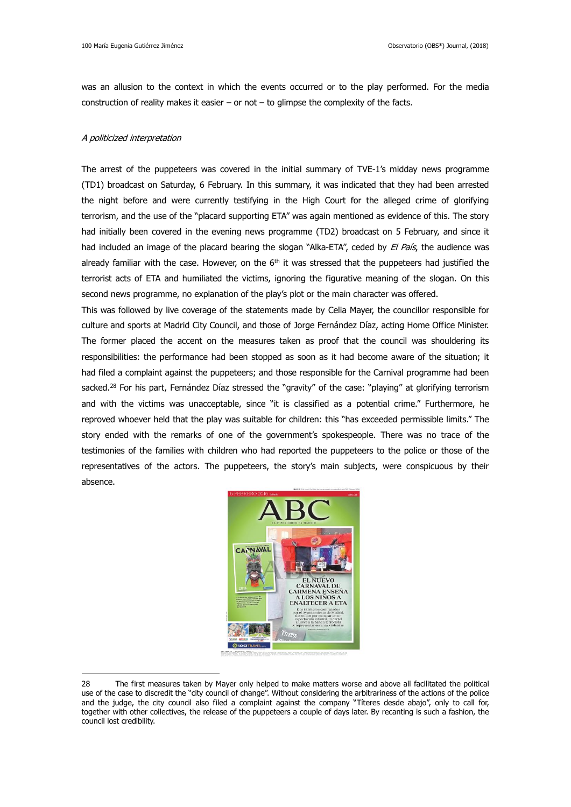was an allusion to the context in which the events occurred or to the play performed. For the media construction of reality makes it easier – or not – to glimpse the complexity of the facts.

### A politicized interpretation

1

The arrest of the puppeteers was covered in the initial summary of TVE-1's midday news programme (TD1) broadcast on Saturday, 6 February. In this summary, it was indicated that they had been arrested the night before and were currently testifying in the High Court for the alleged crime of glorifying terrorism, and the use of the "placard supporting ETA" was again mentioned as evidence of this. The story had initially been covered in the evening news programme (TD2) broadcast on 5 February, and since it had included an image of the placard bearing the slogan "Alka-ETA", ceded by *El País*, the audience was already familiar with the case. However, on the  $6<sup>th</sup>$  it was stressed that the puppeteers had justified the terrorist acts of ETA and humiliated the victims, ignoring the figurative meaning of the slogan. On this second news programme, no explanation of the play's plot or the main character was offered.

This was followed by live coverage of the statements made by Celia Mayer, the councillor responsible for culture and sports at Madrid City Council, and those of Jorge Fernández Díaz, acting Home Office Minister. The former placed the accent on the measures taken as proof that the council was shouldering its responsibilities: the performance had been stopped as soon as it had become aware of the situation; it had filed a complaint against the puppeteers; and those responsible for the Carnival programme had been sacked.<sup>28</sup> For his part, Fernández Díaz stressed the "gravity" of the case: "playing" at glorifying terrorism and with the victims was unacceptable, since "it is classified as a potential crime." Furthermore, he reproved whoever held that the play was suitable for children: this "has exceeded permissible limits." The story ended with the remarks of one of the government's spokespeople. There was no trace of the testimonies of the families with children who had reported the puppeteers to the police or those of the representatives of the actors. The puppeteers, the story's main subjects, were conspicuous by their absence.



<sup>28</sup> The first measures taken by Mayer only helped to make matters worse and above all facilitated the political use of the case to discredit the "city council of change". Without considering the arbitrariness of the actions of the police and the judge, the city council also filed a complaint against the company "Títeres desde abajo", only to call for, together with other collectives, the release of the puppeteers a couple of days later. By recanting is such a fashion, the council lost credibility.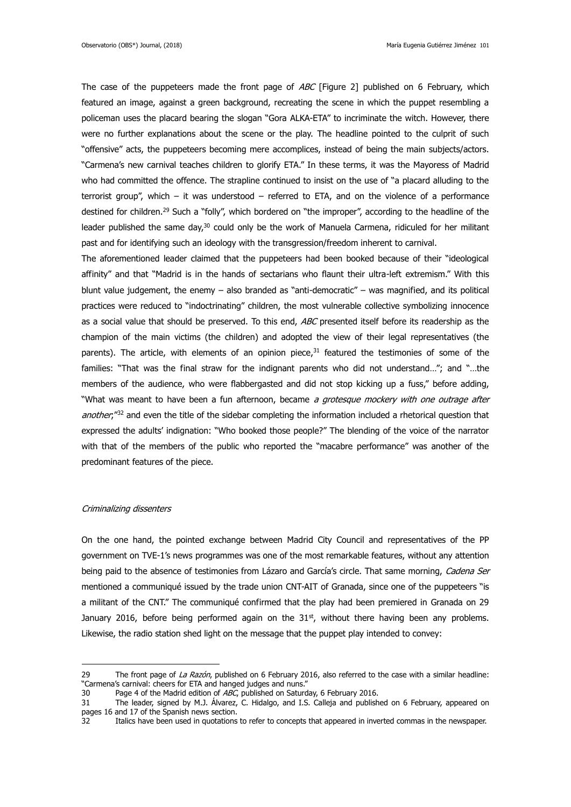The case of the puppeteers made the front page of  $ABC$  [Figure 2] published on 6 February, which featured an image, against a green background, recreating the scene in which the puppet resembling a policeman uses the placard bearing the slogan "Gora ALKA-ETA" to incriminate the witch. However, there were no further explanations about the scene or the play. The headline pointed to the culprit of such "offensive" acts, the puppeteers becoming mere accomplices, instead of being the main subjects/actors. "Carmena's new carnival teaches children to glorify ETA." In these terms, it was the Mayoress of Madrid who had committed the offence. The strapline continued to insist on the use of "a placard alluding to the terrorist group", which – it was understood – referred to ETA, and on the violence of a performance destined for children.<sup>29</sup> Such a "folly", which bordered on "the improper", according to the headline of the leader published the same day,<sup>30</sup> could only be the work of Manuela Carmena, ridiculed for her militant past and for identifying such an ideology with the transgression/freedom inherent to carnival.

The aforementioned leader claimed that the puppeteers had been booked because of their "ideological affinity" and that "Madrid is in the hands of sectarians who flaunt their ultra-left extremism." With this blunt value judgement, the enemy – also branded as "anti-democratic" – was magnified, and its political practices were reduced to "indoctrinating" children, the most vulnerable collective symbolizing innocence as a social value that should be preserved. To this end, ABC presented itself before its readership as the champion of the main victims (the children) and adopted the view of their legal representatives (the parents). The article, with elements of an opinion piece, $31$  featured the testimonies of some of the families: "That was the final straw for the indignant parents who did not understand…"; and "…the members of the audience, who were flabbergasted and did not stop kicking up a fuss," before adding, "What was meant to have been a fun afternoon, became a grotesque mockery with one outrage after another;<sup>"32</sup> and even the title of the sidebar completing the information included a rhetorical question that expressed the adults' indignation: "Who booked those people?" The blending of the voice of the narrator with that of the members of the public who reported the "macabre performance" was another of the predominant features of the piece.

### Criminalizing dissenters

1

On the one hand, the pointed exchange between Madrid City Council and representatives of the PP government on TVE-1's news programmes was one of the most remarkable features, without any attention being paid to the absence of testimonies from Lázaro and García's circle. That same morning, Cadena Ser mentioned a communiqué issued by the trade union CNT-AIT of Granada, since one of the puppeteers "is a militant of the CNT." The communiqué confirmed that the play had been premiered in Granada on 29 January 2016, before being performed again on the  $31<sup>st</sup>$ , without there having been any problems. Likewise, the radio station shed light on the message that the puppet play intended to convey:

<sup>29</sup> The front page of La Razón, published on 6 February 2016, also referred to the case with a similar headline: "Carmena's carnival: cheers for ETA and hanged judges and nuns."

<sup>30</sup> Page 4 of the Madrid edition of ABC, published on Saturday, 6 February 2016.

<sup>31</sup> The leader, signed by M.J. Álvarez, C. Hidalgo, and I.S. Calleja and published on 6 February, appeared on pages 16 and 17 of the Spanish news section.

<sup>32</sup> Italics have been used in quotations to refer to concepts that appeared in inverted commas in the newspaper.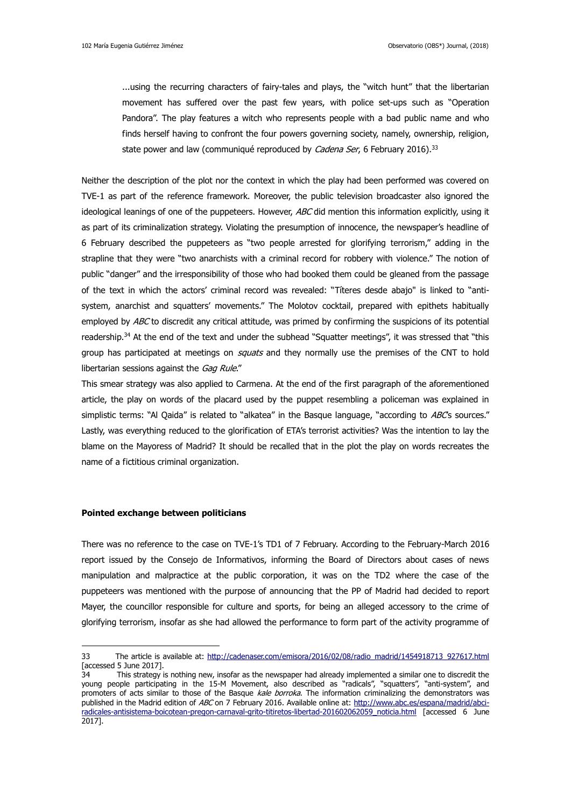...using the recurring characters of fairy-tales and plays, the "witch hunt" that the libertarian movement has suffered over the past few years, with police set-ups such as "Operation Pandora". The play features a witch who represents people with a bad public name and who finds herself having to confront the four powers governing society, namely, ownership, religion, state power and law (communiqué reproduced by *Cadena Ser*, 6 February 2016).<sup>33</sup>

Neither the description of the plot nor the context in which the play had been performed was covered on TVE-1 as part of the reference framework. Moreover, the public television broadcaster also ignored the ideological leanings of one of the puppeteers. However, ABC did mention this information explicitly, using it as part of its criminalization strategy. Violating the presumption of innocence, the newspaper's headline of 6 February described the puppeteers as "two people arrested for glorifying terrorism," adding in the strapline that they were "two anarchists with a criminal record for robbery with violence." The notion of public "danger" and the irresponsibility of those who had booked them could be gleaned from the passage of the text in which the actors' criminal record was revealed: "Títeres desde abajo" is linked to "antisystem, anarchist and squatters' movements." The Molotov cocktail, prepared with epithets habitually employed by ABC to discredit any critical attitude, was primed by confirming the suspicions of its potential readership.<sup>34</sup> At the end of the text and under the subhead "Squatter meetings", it was stressed that "this group has participated at meetings on *squats* and they normally use the premises of the CNT to hold libertarian sessions against the Gag Rule."

This smear strategy was also applied to Carmena. At the end of the first paragraph of the aforementioned article, the play on words of the placard used by the puppet resembling a policeman was explained in simplistic terms: "Al Qaida" is related to "alkatea" in the Basque language, "according to ABCs sources." Lastly, was everything reduced to the glorification of ETA's terrorist activities? Was the intention to lay the blame on the Mayoress of Madrid? It should be recalled that in the plot the play on words recreates the name of a fictitious criminal organization.

### **Pointed exchange between politicians**

1

There was no reference to the case on TVE-1's TD1 of 7 February. According to the February-March 2016 report issued by the Consejo de Informativos, informing the Board of Directors about cases of news manipulation and malpractice at the public corporation, it was on the TD2 where the case of the puppeteers was mentioned with the purpose of announcing that the PP of Madrid had decided to report Mayer, the councillor responsible for culture and sports, for being an alleged accessory to the crime of glorifying terrorism, insofar as she had allowed the performance to form part of the activity programme of

<sup>33</sup> The article is available at: [http://cadenaser.com/emisora/2016/02/08/radio\\_madrid/1454918713\\_927617.html](http://cadenaser.com/emisora/2016/02/08/radio_madrid/1454918713_927617.html) [accessed 5 June 2017].

<sup>34</sup> This strategy is nothing new, insofar as the newspaper had already implemented a similar one to discredit the young people participating in the 15-M Movement, also described as "radicals", "squatters", "anti-system", and promoters of acts similar to those of the Basque kale borroka. The information criminalizing the demonstrators was published in the Madrid edition of ABC on 7 February 2016. Available online at: [http://www.abc.es/espana/madrid/abci](http://www.abc.es/espana/madrid/abci-radicales-antisistema-boicotean-pregon-carnaval-grito-titiretos-libertad-201602062059_noticia.html)radicales-antisistema-boicotean-pregon-carnaval-grito-titiretos-libertad-201602062059 noticia.html [accessed 6 June 2017].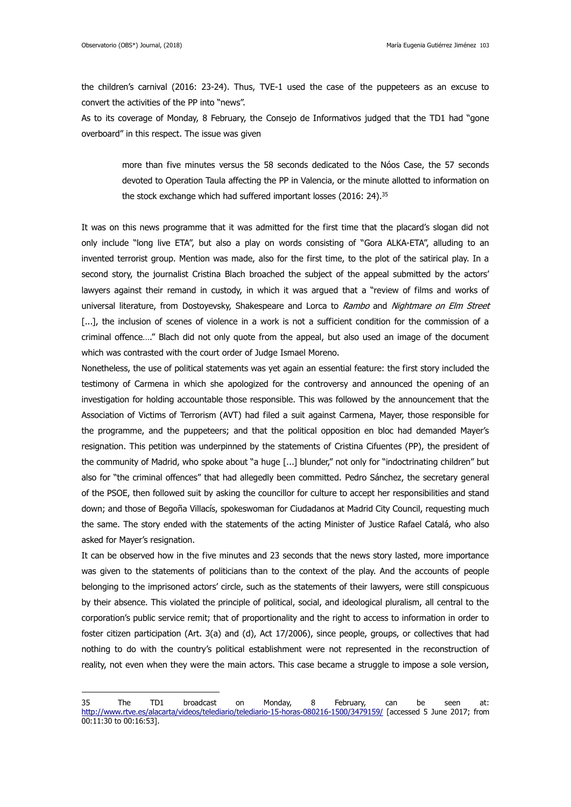the children's carnival (2016: 23-24). Thus, TVE-1 used the case of the puppeteers as an excuse to convert the activities of the PP into "news".

As to its coverage of Monday, 8 February, the Consejo de Informativos judged that the TD1 had "gone overboard" in this respect. The issue was given

more than five minutes versus the 58 seconds dedicated to the Nóos Case, the 57 seconds devoted to Operation Taula affecting the PP in Valencia, or the minute allotted to information on the stock exchange which had suffered important losses (2016: 24).<sup>35</sup>

It was on this news programme that it was admitted for the first time that the placard's slogan did not only include "long live ETA", but also a play on words consisting of "Gora ALKA-ETA", alluding to an invented terrorist group. Mention was made, also for the first time, to the plot of the satirical play. In a second story, the journalist Cristina Blach broached the subject of the appeal submitted by the actors' lawyers against their remand in custody, in which it was argued that a "review of films and works of universal literature, from Dostoyevsky, Shakespeare and Lorca to Rambo and Nightmare on Elm Street [...], the inclusion of scenes of violence in a work is not a sufficient condition for the commission of a criminal offence…." Blach did not only quote from the appeal, but also used an image of the document which was contrasted with the court order of Judge Ismael Moreno.

Nonetheless, the use of political statements was yet again an essential feature: the first story included the testimony of Carmena in which she apologized for the controversy and announced the opening of an investigation for holding accountable those responsible. This was followed by the announcement that the Association of Victims of Terrorism (AVT) had filed a suit against Carmena, Mayer, those responsible for the programme, and the puppeteers; and that the political opposition en bloc had demanded Mayer's resignation. This petition was underpinned by the statements of Cristina Cifuentes (PP), the president of the community of Madrid, who spoke about "a huge [...] blunder," not only for "indoctrinating children" but also for "the criminal offences" that had allegedly been committed. Pedro Sánchez, the secretary general of the PSOE, then followed suit by asking the councillor for culture to accept her responsibilities and stand down; and those of Begoña Villacís, spokeswoman for Ciudadanos at Madrid City Council, requesting much the same. The story ended with the statements of the acting Minister of Justice Rafael Catalá, who also asked for Mayer's resignation.

It can be observed how in the five minutes and 23 seconds that the news story lasted, more importance was given to the statements of politicians than to the context of the play. And the accounts of people belonging to the imprisoned actors' circle, such as the statements of their lawyers, were still conspicuous by their absence. This violated the principle of political, social, and ideological pluralism, all central to the corporation's public service remit; that of proportionality and the right to access to information in order to foster citizen participation (Art. 3(a) and (d), Act 17/2006), since people, groups, or collectives that had nothing to do with the country's political establishment were not represented in the reconstruction of reality, not even when they were the main actors. This case became a struggle to impose a sole version,

<sup>35</sup> The TD1 broadcast on Monday, 8 February, can be seen at: <http://www.rtve.es/alacarta/videos/telediario/telediario-15-horas-080216-1500/3479159/> [accessed 5 June 2017; from 00:11:30 to 00:16:53].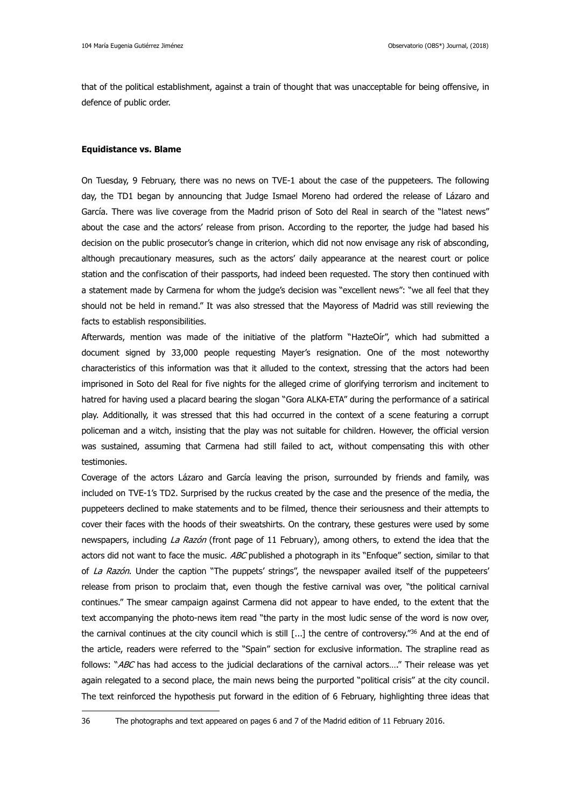that of the political establishment, against a train of thought that was unacceptable for being offensive, in defence of public order.

### **Equidistance vs. Blame**

1

On Tuesday, 9 February, there was no news on TVE-1 about the case of the puppeteers. The following day, the TD1 began by announcing that Judge Ismael Moreno had ordered the release of Lázaro and García. There was live coverage from the Madrid prison of Soto del Real in search of the "latest news" about the case and the actors' release from prison. According to the reporter, the judge had based his decision on the public prosecutor's change in criterion, which did not now envisage any risk of absconding, although precautionary measures, such as the actors' daily appearance at the nearest court or police station and the confiscation of their passports, had indeed been requested. The story then continued with a statement made by Carmena for whom the judge's decision was "excellent news": "we all feel that they should not be held in remand." It was also stressed that the Mayoress of Madrid was still reviewing the facts to establish responsibilities.

Afterwards, mention was made of the initiative of the platform "HazteOír", which had submitted a document signed by 33,000 people requesting Mayer's resignation. One of the most noteworthy characteristics of this information was that it alluded to the context, stressing that the actors had been imprisoned in Soto del Real for five nights for the alleged crime of glorifying terrorism and incitement to hatred for having used a placard bearing the slogan "Gora ALKA-ETA" during the performance of a satirical play. Additionally, it was stressed that this had occurred in the context of a scene featuring a corrupt policeman and a witch, insisting that the play was not suitable for children. However, the official version was sustained, assuming that Carmena had still failed to act, without compensating this with other testimonies.

Coverage of the actors Lázaro and García leaving the prison, surrounded by friends and family, was included on TVE-1's TD2. Surprised by the ruckus created by the case and the presence of the media, the puppeteers declined to make statements and to be filmed, thence their seriousness and their attempts to cover their faces with the hoods of their sweatshirts. On the contrary, these gestures were used by some newspapers, including La Razón (front page of 11 February), among others, to extend the idea that the actors did not want to face the music. ABC published a photograph in its "Enfoque" section, similar to that of La Razón. Under the caption "The puppets' strings", the newspaper availed itself of the puppeteers' release from prison to proclaim that, even though the festive carnival was over, "the political carnival continues." The smear campaign against Carmena did not appear to have ended, to the extent that the text accompanying the photo-news item read "the party in the most ludic sense of the word is now over, the carnival continues at the city council which is still [...] the centre of controversy."<sup>36</sup> And at the end of the article, readers were referred to the "Spain" section for exclusive information. The strapline read as follows: "ABC has had access to the judicial declarations of the carnival actors...." Their release was yet again relegated to a second place, the main news being the purported "political crisis" at the city council. The text reinforced the hypothesis put forward in the edition of 6 February, highlighting three ideas that

36 The photographs and text appeared on pages 6 and 7 of the Madrid edition of 11 February 2016.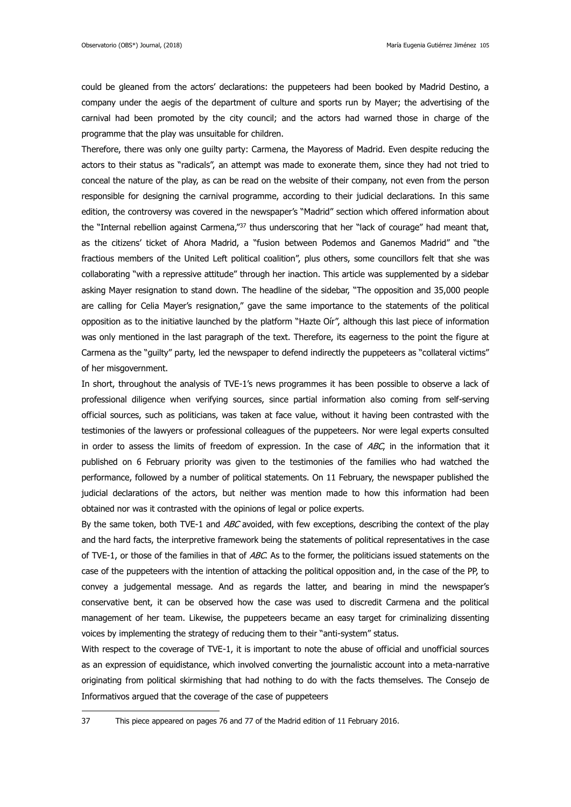could be gleaned from the actors' declarations: the puppeteers had been booked by Madrid Destino, a company under the aegis of the department of culture and sports run by Mayer; the advertising of the carnival had been promoted by the city council; and the actors had warned those in charge of the programme that the play was unsuitable for children.

Therefore, there was only one guilty party: Carmena, the Mayoress of Madrid. Even despite reducing the actors to their status as "radicals", an attempt was made to exonerate them, since they had not tried to conceal the nature of the play, as can be read on the website of their company, not even from the person responsible for designing the carnival programme, according to their judicial declarations. In this same edition, the controversy was covered in the newspaper's "Madrid" section which offered information about the "Internal rebellion against Carmena,"<sup>37</sup> thus underscoring that her "lack of courage" had meant that, as the citizens' ticket of Ahora Madrid, a "fusion between Podemos and Ganemos Madrid" and "the fractious members of the United Left political coalition", plus others, some councillors felt that she was collaborating "with a repressive attitude" through her inaction. This article was supplemented by a sidebar asking Mayer resignation to stand down. The headline of the sidebar, "The opposition and 35,000 people are calling for Celia Mayer's resignation," gave the same importance to the statements of the political opposition as to the initiative launched by the platform "Hazte Oír", although this last piece of information was only mentioned in the last paragraph of the text. Therefore, its eagerness to the point the figure at Carmena as the "guilty" party, led the newspaper to defend indirectly the puppeteers as "collateral victims" of her misgovernment.

In short, throughout the analysis of TVE-1's news programmes it has been possible to observe a lack of professional diligence when verifying sources, since partial information also coming from self-serving official sources, such as politicians, was taken at face value, without it having been contrasted with the testimonies of the lawyers or professional colleagues of the puppeteers. Nor were legal experts consulted in order to assess the limits of freedom of expression. In the case of  $ABC$ , in the information that it published on 6 February priority was given to the testimonies of the families who had watched the performance, followed by a number of political statements. On 11 February, the newspaper published the judicial declarations of the actors, but neither was mention made to how this information had been obtained nor was it contrasted with the opinions of legal or police experts.

By the same token, both TVE-1 and ABC avoided, with few exceptions, describing the context of the play and the hard facts, the interpretive framework being the statements of political representatives in the case of TVE-1, or those of the families in that of ABC. As to the former, the politicians issued statements on the case of the puppeteers with the intention of attacking the political opposition and, in the case of the PP, to convey a judgemental message. And as regards the latter, and bearing in mind the newspaper's conservative bent, it can be observed how the case was used to discredit Carmena and the political management of her team. Likewise, the puppeteers became an easy target for criminalizing dissenting voices by implementing the strategy of reducing them to their "anti-system" status.

With respect to the coverage of TVE-1, it is important to note the abuse of official and unofficial sources as an expression of equidistance, which involved converting the journalistic account into a meta-narrative originating from political skirmishing that had nothing to do with the facts themselves. The Consejo de Informativos argued that the coverage of the case of puppeteers

37 This piece appeared on pages 76 and 77 of the Madrid edition of 11 February 2016.

1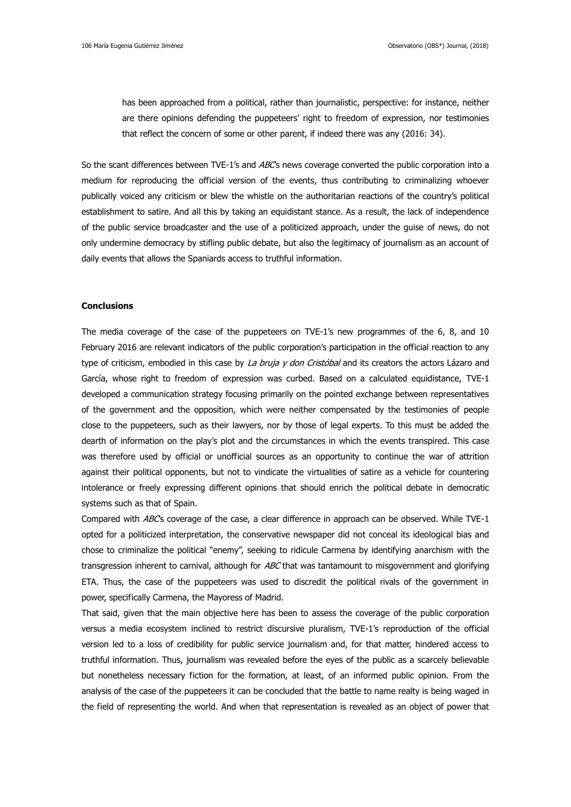has been approached from a political, rather than journalistic, perspective: for instance, neither are there opinions defending the puppeteers' right to freedom of expression, nor testimonies that reflect the concern of some or other parent, if indeed there was any (2016: 34).

So the scant differences between TVE-1's and ABC's news coverage converted the public corporation into a medium for reproducing the official version of the events, thus contributing to criminalizing whoever publically voiced any criticism or blew the whistle on the authoritarian reactions of the country's political establishment to satire. And all this by taking an equidistant stance. As a result, the lack of independence of the public service broadcaster and the use of a politicized approach, under the guise of news, do not only undermine democracy by stifling public debate, but also the legitimacy of journalism as an account of daily events that allows the Spaniards access to truthful information.

### **Conclusions**

The media coverage of the case of the puppeteers on TVE-1's new programmes of the 6, 8, and 10 February 2016 are relevant indicators of the public corporation's participation in the official reaction to any type of criticism, embodied in this case by La bruja y don Cristóbal and its creators the actors Lázaro and García, whose right to freedom of expression was curbed. Based on a calculated equidistance, TVE-1 developed a communication strategy focusing primarily on the pointed exchange between representatives of the government and the opposition, which were neither compensated by the testimonies of people close to the puppeteers, such as their lawyers, nor by those of legal experts. To this must be added the dearth of information on the play's plot and the circumstances in which the events transpired. This case was therefore used by official or unofficial sources as an opportunity to continue the war of attrition against their political opponents, but not to vindicate the virtualities of satire as a vehicle for countering intolerance or freely expressing different opinions that should enrich the political debate in democratic systems such as that of Spain.

Compared with ABC's coverage of the case, a clear difference in approach can be observed. While TVE-1 opted for a politicized interpretation, the conservative newspaper did not conceal its ideological bias and chose to criminalize the political "enemy", seeking to ridicule Carmena by identifying anarchism with the transgression inherent to carnival, although for ABC that was tantamount to misgovernment and glorifying ETA. Thus, the case of the puppeteers was used to discredit the political rivals of the government in power, specifically Carmena, the Mayoress of Madrid.

That said, given that the main objective here has been to assess the coverage of the public corporation versus a media ecosystem inclined to restrict discursive pluralism, TVE-1's reproduction of the official version led to a loss of credibility for public service journalism and, for that matter, hindered access to truthful information. Thus, journalism was revealed before the eyes of the public as a scarcely believable but nonetheless necessary fiction for the formation, at least, of an informed public opinion. From the analysis of the case of the puppeteers it can be concluded that the battle to name realty is being waged in the field of representing the world. And when that representation is revealed as an object of power that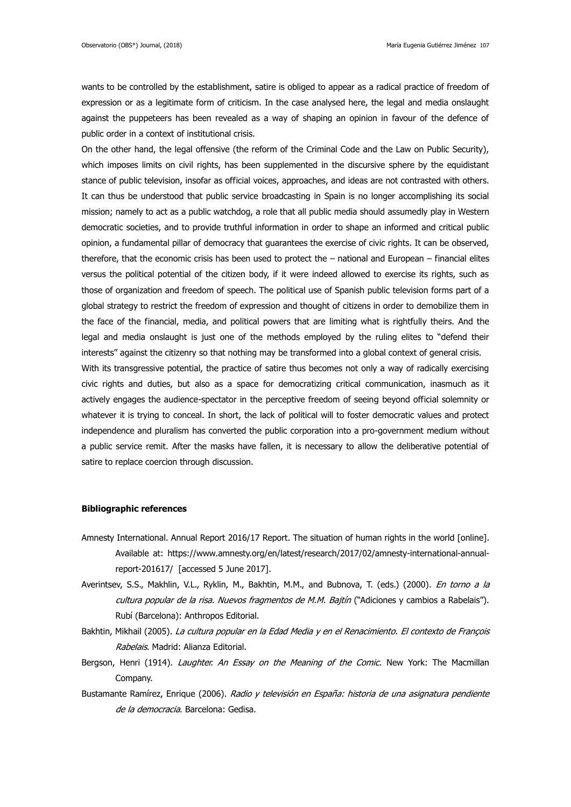wants to be controlled by the establishment, satire is obliged to appear as a radical practice of freedom of expression or as a legitimate form of criticism. In the case analysed here, the legal and media onslaught against the puppeteers has been revealed as a way of shaping an opinion in favour of the defence of public order in a context of institutional crisis.

On the other hand, the legal offensive (the reform of the Criminal Code and the Law on Public Security), which imposes limits on civil rights, has been supplemented in the discursive sphere by the equidistant stance of public television, insofar as official voices, approaches, and ideas are not contrasted with others. It can thus be understood that public service broadcasting in Spain is no longer accomplishing its social mission; namely to act as a public watchdog, a role that all public media should assumedly play in Western democratic societies, and to provide truthful information in order to shape an informed and critical public opinion, a fundamental pillar of democracy that guarantees the exercise of civic rights. It can be observed, therefore, that the economic crisis has been used to protect the – national and European – financial elites versus the political potential of the citizen body, if it were indeed allowed to exercise its rights, such as those of organization and freedom of speech. The political use of Spanish public television forms part of a global strategy to restrict the freedom of expression and thought of citizens in order to demobilize them in the face of the financial, media, and political powers that are limiting what is rightfully theirs. And the legal and media onslaught is just one of the methods employed by the ruling elites to "defend their interests" against the citizenry so that nothing may be transformed into a global context of general crisis. With its transgressive potential, the practice of satire thus becomes not only a way of radically exercising

civic rights and duties, but also as a space for democratizing critical communication, inasmuch as it actively engages the audience-spectator in the perceptive freedom of seeing beyond official solemnity or whatever it is trying to conceal. In short, the lack of political will to foster democratic values and protect independence and pluralism has converted the public corporation into a pro-government medium without a public service remit. After the masks have fallen, it is necessary to allow the deliberative potential of satire to replace coercion through discussion.

## **Bibliographic references**

- Amnesty International. Annual Report 2016/17 Report. The situation of human rights in the world [online]. Available at: https://www.amnesty.org/en/latest/research/2017/02/amnesty-international-annualreport-201617/ [accessed 5 June 2017].
- Averintsev, S.S., Makhlin, V.L., Ryklin, M., Bakhtin, M.M., and Bubnova, T. (eds.) (2000). En torno a la cultura popular de la risa. Nuevos fragmentos de M.M. Bajtín ("Adiciones y cambios a Rabelais"). Rubí (Barcelona): Anthropos Editorial.
- Bakhtin, Mikhail (2005). La cultura popular en la Edad Media y en el Renacimiento. El contexto de François Rabelais. Madrid: Alianza Editorial.
- Bergson, Henri (1914). Laughter. An Essay on the Meaning of the Comic. New York: The Macmillan Company.
- Bustamante Ramírez, Enrique (2006). Radio y televisión en España: historia de una asignatura pendiente de la democracia. Barcelona: Gedisa.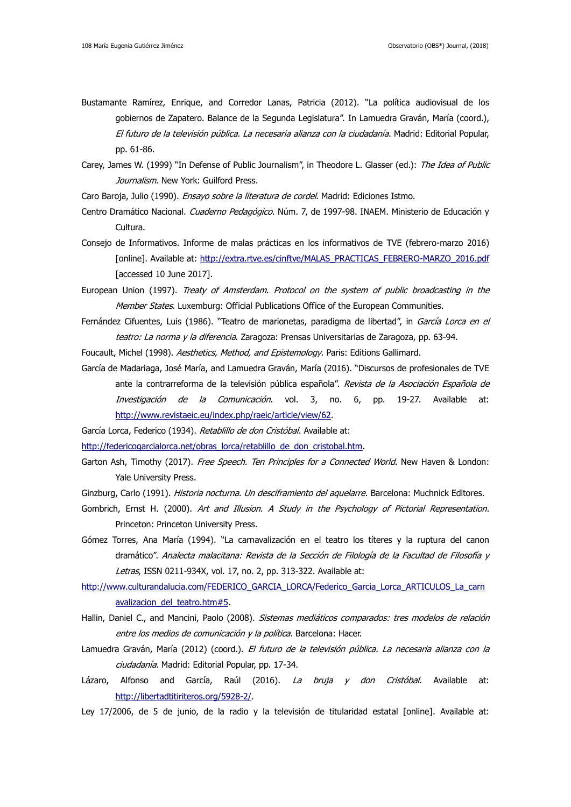- Bustamante Ramírez, Enrique, and Corredor Lanas, Patricia (2012). "La política audiovisual de los gobiernos de Zapatero. Balance de la Segunda Legislatura". In Lamuedra Graván, María (coord.), El futuro de la televisión pública. La necesaria alianza con la ciudadanía. Madrid: Editorial Popular, pp. 61-86.
- Carey, James W. (1999) "In Defense of Public Journalism", in Theodore L. Glasser (ed.): The Idea of Public Journalism. New York: Guilford Press.

Caro Baroja, Julio (1990). Ensayo sobre la literatura de cordel. Madrid: Ediciones Istmo.

- Centro Dramático Nacional. Cuaderno Pedagógico. Núm. 7, de 1997-98. INAEM. Ministerio de Educación y Cultura.
- Consejo de Informativos. Informe de malas prácticas en los informativos de TVE (febrero-marzo 2016) [online]. Available at: [http://extra.rtve.es/cinftve/MALAS\\_PRACTICAS\\_FEBRERO-MARZO\\_2016.pdf](http://extra.rtve.es/cinftve/MALAS_PRACTICAS_FEBRERO-MARZO_2016.pdf) [accessed 10 June 2017].
- European Union (1997). Treaty of Amsterdam. Protocol on the system of public broadcasting in the Member States. Luxemburg: Official Publications Office of the European Communities.
- Fernández Cifuentes, Luis (1986). "Teatro de marionetas, paradigma de libertad", in García Lorca en el teatro: La norma y la diferencia. Zaragoza: Prensas Universitarias de Zaragoza, pp. 63-94.
- Foucault, Michel (1998). Aesthetics, Method, and Epistemology. Paris: Editions Gallimard.
- García de Madariaga, José María, and Lamuedra Graván, María (2016). "Discursos de profesionales de TVE ante la contrarreforma de la televisión pública española". Revista de la Asociación Española de Investigación de la Comunicación. vol. 3, no. 6, pp. 19-27. Available at: [http://www.revistaeic.eu/index.php/raeic/article/view/62.](http://www.revistaeic.eu/index.php/raeic/article/view/62)
- García Lorca, Federico (1934). Retablillo de don Cristóbal. Available at:

[http://federicogarcialorca.net/obras\\_lorca/retablillo\\_de\\_don\\_cristobal.htm.](http://federicogarcialorca.net/obras_lorca/retablillo_de_don_cristobal.htm)

- Garton Ash, Timothy (2017). Free Speech. Ten Principles for a Connected World. New Haven & London: Yale University Press.
- Ginzburg, Carlo (1991). Historia nocturna. Un desciframiento del aquelarre. Barcelona: Muchnick Editores.
- Gombrich, Ernst H. (2000). Art and Illusion. A Study in the Psychology of Pictorial Representation. Princeton: Princeton University Press.
- Gómez Torres, Ana María (1994). "La carnavalización en el teatro los títeres y la ruptura del canon dramático". Analecta malacitana: Revista de la Sección de Filología de la Facultad de Filosofía y Letras, ISSN 0211-934X, vol. 17, no. 2, pp. 313-322. Available at:
- [http://www.culturandalucia.com/FEDERICO\\_GARCIA\\_LORCA/Federico\\_Garcia\\_Lorca\\_ARTICULOS\\_La\\_carn](http://www.culturandalucia.com/FEDERICO_GARCIA_LORCA/Federico_Garcia_Lorca_ARTICULOS_La_carnavalizacion_del_teatro.htm#5) avalizacion del teatro.htm#5.
- Hallin, Daniel C., and Mancini, Paolo (2008). Sistemas mediáticos comparados: tres modelos de relación entre los medios de comunicación y la política. Barcelona: Hacer.
- Lamuedra Graván, María (2012) (coord.). El futuro de la televisión pública. La necesaria alianza con la ciudadanía. Madrid: Editorial Popular, pp. 17-34.
- Lázaro, Alfonso and García, Raúl (2016). La bruja y don Cristóbal. Available at: [http://libertadtitiriteros.org/5928-2/.](http://libertadtitiriteros.org/5928-2/)
- Ley 17/2006, de 5 de junio, de la radio y la televisión de titularidad estatal [online]. Available at: